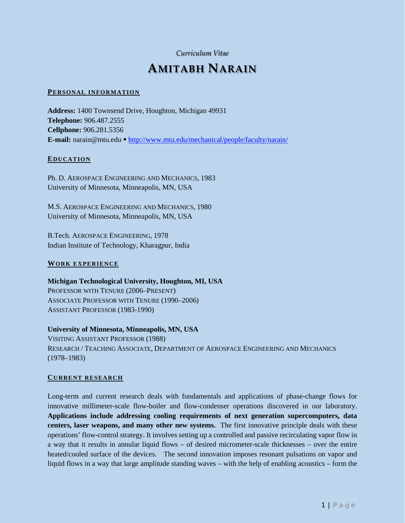# *Curriculum Vitae*

# **AMITABH NARAIN**

#### **PERSONAL INFORMATION**

**Address:** 1400 Townsend Drive, Houghton, Michigan 49931 **Telephone:** 906.487.2555 **Cellphone:** 906.281.5356 **E-mail:** narain@mtu.edu • <http://www.mtu.edu/mechanical/people/faculty/narain/>

#### **EDUCATION**

Ph. D. AEROSPACE ENGINEERING AND MECHANICS, 1983 University of Minnesota, Minneapolis, MN, USA

M.S. AEROSPACE ENGINEERING AND MECHANICS, 1980 University of Minnesota, Minneapolis, MN, USA

B.Tech. AEROSPACE ENGINEERING, 1978 Indian Institute of Technology, Kharagpur, India

## **WORK EXPERIENCE**

# **Michigan Technological University, Houghton, MI, USA** PROFESSOR WITH TENURE (2006–PRESENT) ASSOCIATE PROFESSOR WITH TENURE (1990–2006) ASSISTANT PROFESSOR (1983-1990)

## **University of Minnesota, Minneapolis, MN, USA**

VISITING ASSISTANT PROFESSOR (1988) RESEARCH / TEACHING ASSOCIATE, DEPARTMENT OF AEROSPACE ENGINEERING AND MECHANICS (1978–1983)

#### **CURRENT RESEARCH**

Long-term and current research deals with fundamentals and applications of phase-change flows for innovative millimeter-scale flow-boiler and flow-condenser operations discovered in our laboratory. **Applications include addressing cooling requirements of next generation supercomputers, data centers, laser weapons, and many other new systems.** The first innovative principle deals with these operations' flow-control strategy. It involves setting up a controlled and passive recirculating vapor flow in a way that it results in annular liquid flows – of desired micrometer-scale thicknesses – over the entire heated/cooled surface of the devices. The second innovation imposes resonant pulsations on vapor and liquid flows in a way that large amplitude standing waves – with the help of enabling acoustics – form the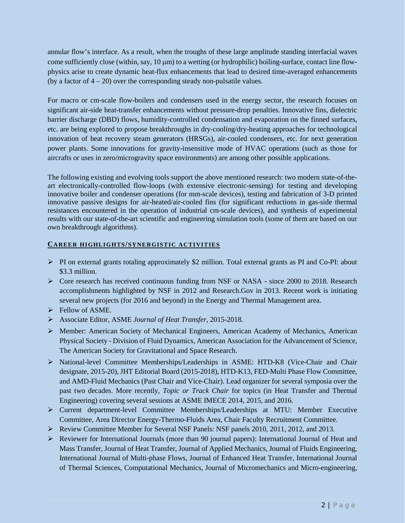annular flow's interface. As a result, when the troughs of these large amplitude standing interfacial waves come sufficiently close (within, say, 10  $\mu$ m) to a wetting (or hydrophilic) boiling-surface, contact line flowphysics arise to create dynamic heat-flux enhancements that lead to desired time-averaged enhancements (by a factor of  $4 - 20$ ) over the corresponding steady non-pulsatile values.

For macro or cm-scale flow-boilers and condensers used in the energy sector, the research focuses on significant air-side heat-transfer enhancements without pressure-drop penalties. Innovative fins, dielectric barrier discharge (DBD) flows, humidity-controlled condensation and evaporation on the finned surfaces, etc. are being explored to propose breakthroughs in dry-cooling/dry-heating approaches for technological innovation of heat recovery steam generators (HRSGs), air-cooled condensers, etc. for next generation power plants. Some innovations for gravity-insensitive mode of HVAC operations (such as those for aircrafts or uses in zero/microgravity space environments) are among other possible applications.

The following existing and evolving tools support the above mentioned research: two modern state-of-theart electronically-controlled flow-loops (with extensive electronic-sensing) for testing and developing innovative boiler and condenser operations (for mm-scale devices), testing and fabrication of 3-D printed innovative passive designs for air-heated/air-cooled fins (for significant reductions in gas-side thermal resistances encountered in the operation of industrial cm-scale devices), and synthesis of experimental results with our state-of-the-art scientific and engineering simulation tools (some of them are based on our own breakthrough algorithms).

## **CAREER HIGHLIGHTS/SYNERGISTIC ACTIVITIES**

- $\triangleright$  PI on external grants totaling approximately \$2 million. Total external grants as PI and Co-PI: about \$3.3 million.
- $\triangleright$  Core research has received continuous funding from NSF or NASA since 2000 to 2018. Research accomplishments highlighted by NSF in 2012 and Research.Gov in 2013. Recent work is initiating several new projects (for 2016 and beyond) in the Energy and Thermal Management area.
- $\triangleright$  Fellow of ASME.
- Associate Editor, ASME *Journal of Heat Transfer*, 2015-2018.
- $\triangleright$  Member: American Society of Mechanical Engineers, American Academy of Mechanics, American Physical Society - Division of Fluid Dynamics, American Association for the Advancement of Science, The American Society for Gravitational and Space Research.
- National-level Committee Memberships/Leaderships in ASME: HTD-K8 (Vice-Chair and Chair designate, 2015-20), JHT Editorial Board (2015-2018), HTD-K13, FED-Multi Phase Flow Committee, and AMD-Fluid Mechanics (Past Chair and Vice-Chair). Lead organizer for several symposia over the past two decades. More recently, *Topic or Track Chair* for topics (in Heat Transfer and Thermal Engineering) covering several sessions at ASME IMECE 2014, 2015, and 2016.
- Current department-level Committee Memberships/Leaderships at MTU: Member Executive Committee, Area Director Energy-Thermo-Fluids Area, Chair Faculty Recruitment Committee.
- $\triangleright$  Review Committee Member for Several NSF Panels: NSF panels 2010, 2011, 2012, and 2013.
- $\triangleright$  Reviewer for International Journals (more than 90 journal papers): International Journal of Heat and Mass Transfer, Journal of Heat Transfer, Journal of Applied Mechanics, Journal of Fluids Engineering, International Journal of Multi-phase Flows, Journal of Enhanced Heat Transfer, International Journal of Thermal Sciences, Computational Mechanics, Journal of Micromechanics and Micro-engineering,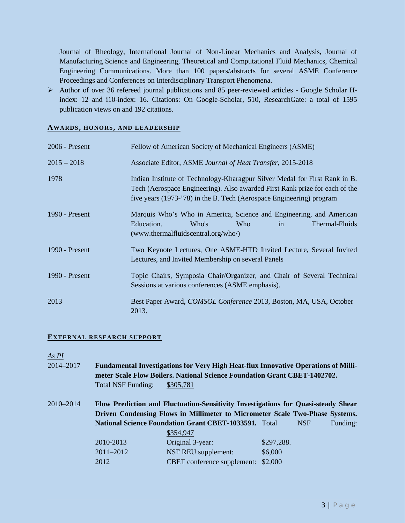Journal of Rheology, International Journal of Non-Linear Mechanics and Analysis, Journal of Manufacturing Science and Engineering, Theoretical and Computational Fluid Mechanics, Chemical Engineering Communications. More than 100 papers/abstracts for several ASME Conference Proceedings and Conferences on Interdisciplinary Transport Phenomena.

 $\triangleright$  Author of over 36 refereed journal publications and 85 peer-reviewed articles - Google Scholar Hindex: 12 and i10-index: 16. Citations: On Google-Scholar, 510, ResearchGate: a total of 1595 publication views on and 192 citations.

#### **AWARDS, HONORS, AND LEADERSHIP**

| $2006$ - Present | Fellow of American Society of Mechanical Engineers (ASME)                                                                                                                                                                         |  |  |  |  |  |
|------------------|-----------------------------------------------------------------------------------------------------------------------------------------------------------------------------------------------------------------------------------|--|--|--|--|--|
| $2015 - 2018$    | Associate Editor, ASME Journal of Heat Transfer, 2015-2018                                                                                                                                                                        |  |  |  |  |  |
| 1978             | Indian Institute of Technology-Kharagpur Silver Medal for First Rank in B.<br>Tech (Aerospace Engineering). Also awarded First Rank prize for each of the<br>five years (1973-'78) in the B. Tech (Aerospace Engineering) program |  |  |  |  |  |
| 1990 - Present   | Marquis Who's Who in America, Science and Engineering, and American<br>Education.<br>Thermal-Fluids<br>Who's<br><b>Who</b><br>in<br>(www.thermalfluidscentral.org/who/)                                                           |  |  |  |  |  |
| 1990 - Present   | Two Keynote Lectures, One ASME-HTD Invited Lecture, Several Invited<br>Lectures, and Invited Membership on several Panels                                                                                                         |  |  |  |  |  |
| 1990 - Present   | Topic Chairs, Symposia Chair/Organizer, and Chair of Several Technical<br>Sessions at various conferences (ASME emphasis).                                                                                                        |  |  |  |  |  |
| 2013             | Best Paper Award, <i>COMSOL Conference</i> 2013, Boston, MA, USA, October<br>2013.                                                                                                                                                |  |  |  |  |  |

## **EXTERNAL RESEARCH SUPPORT**

*As PI*

- 2014–2017 **Fundamental Investigations for Very High Heat-flux Innovative Operations of Millimeter Scale Flow Boilers. National Science Foundation Grant CBET-1402702.**  Total NSF Funding: \$305,781
- 2010–2014 **Flow Prediction and Fluctuation-Sensitivity Investigations for Quasi-steady Shear Driven Condensing Flows in Millimeter to Micrometer Scale Two-Phase Systems.**  National Science Foundation Grant CBET-1033591. Total NSF Funding: \$354,947 2010-2013 Original 3-year: \$297,288. 2011–2012 NSF REU supplement: \$6,000 2012 CBET conference supplement: \$2,000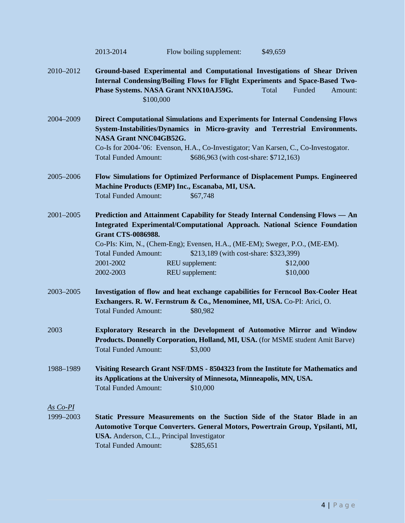|                       | 2013-2014                                                                                                                                                                                                                                                                                                                                                                                                                                  | Flow boiling supplement:                                                            | \$49,659                                                                                                                                                                                                                                               |  |  |  |  |
|-----------------------|--------------------------------------------------------------------------------------------------------------------------------------------------------------------------------------------------------------------------------------------------------------------------------------------------------------------------------------------------------------------------------------------------------------------------------------------|-------------------------------------------------------------------------------------|--------------------------------------------------------------------------------------------------------------------------------------------------------------------------------------------------------------------------------------------------------|--|--|--|--|
| 2010-2012             | \$100,000                                                                                                                                                                                                                                                                                                                                                                                                                                  | Phase Systems. NASA Grant NNX10AJ59G.                                               | Ground-based Experimental and Computational Investigations of Shear Driven<br>Internal Condensing/Boiling Flows for Flight Experiments and Space-Based Two-<br>Total<br>Funded<br>Amount:                                                              |  |  |  |  |
| 2004-2009             | NASA Grant NNC04GB52G.<br><b>Total Funded Amount:</b>                                                                                                                                                                                                                                                                                                                                                                                      | \$686,963 (with cost-share: \$712,163)                                              | Direct Computational Simulations and Experiments for Internal Condensing Flows<br>System-Instabilities/Dynamics in Micro-gravity and Terrestrial Environments.<br>Co-Is for 2004-'06: Evenson, H.A., Co-Investigator; Van Karsen, C., Co-Investogator. |  |  |  |  |
| 2005-2006             | <b>Total Funded Amount:</b>                                                                                                                                                                                                                                                                                                                                                                                                                | Machine Products (EMP) Inc., Escanaba, MI, USA.<br>\$67,748                         | Flow Simulations for Optimized Performance of Displacement Pumps. Engineered                                                                                                                                                                           |  |  |  |  |
| 2001-2005             | Prediction and Attainment Capability for Steady Internal Condensing Flows — An<br>Integrated Experimental/Computational Approach. National Science Foundation<br><b>Grant CTS-0086988.</b><br>Co-PIs: Kim, N., (Chem-Eng); Evensen, H.A., (ME-EM); Sweger, P.O., (ME-EM).<br>\$213,189 (with cost-share: \$323,399)<br><b>Total Funded Amount:</b><br>2001-2002<br>REU supplement:<br>\$12,000<br>REU supplement:<br>\$10,000<br>2002-2003 |                                                                                     |                                                                                                                                                                                                                                                        |  |  |  |  |
| 2003-2005             | <b>Total Funded Amount:</b>                                                                                                                                                                                                                                                                                                                                                                                                                | Exchangers. R. W. Fernstrum & Co., Menominee, MI, USA. Co-PI: Arici, O.<br>\$80,982 | Investigation of flow and heat exchange capabilities for Ferncool Box-Cooler Heat                                                                                                                                                                      |  |  |  |  |
| 2003                  | <b>Total Funded Amount:</b>                                                                                                                                                                                                                                                                                                                                                                                                                | \$3,000                                                                             | Exploratory Research in the Development of Automotive Mirror and Window<br>Products. Donnelly Corporation, Holland, MI, USA. (for MSME student Amit Barve)                                                                                             |  |  |  |  |
| 1988-1989             | <b>Total Funded Amount:</b>                                                                                                                                                                                                                                                                                                                                                                                                                | its Applications at the University of Minnesota, Minneapolis, MN, USA.<br>\$10,000  | Visiting Research Grant NSF/DMS - 8504323 from the Institute for Mathematics and                                                                                                                                                                       |  |  |  |  |
| As Co-PI<br>1999-2003 | <b>Total Funded Amount:</b>                                                                                                                                                                                                                                                                                                                                                                                                                | USA. Anderson, C.L., Principal Investigator<br>\$285,651                            | Static Pressure Measurements on the Suction Side of the Stator Blade in an<br>Automotive Torque Converters. General Motors, Powertrain Group, Ypsilanti, MI,                                                                                           |  |  |  |  |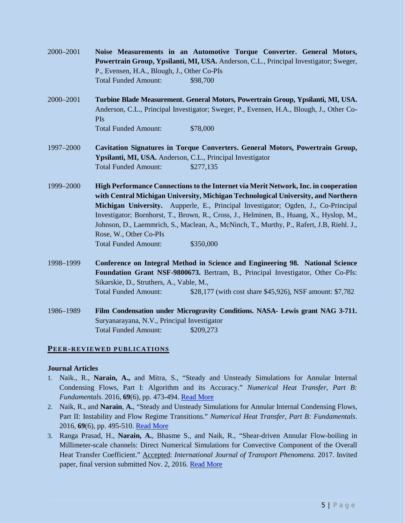| 2000–2001 | Noise Measurements in an Automotive Torque Converter. General Motors,                 |          |  |  |  |  |  |  |
|-----------|---------------------------------------------------------------------------------------|----------|--|--|--|--|--|--|
|           | Powertrain Group, Ypsilanti, MI, USA. Anderson, C.L., Principal Investigator; Sweger, |          |  |  |  |  |  |  |
|           | P., Evensen, H.A., Blough, J., Other Co-PIs                                           |          |  |  |  |  |  |  |
|           | <b>Total Funded Amount:</b>                                                           | \$98,700 |  |  |  |  |  |  |
|           |                                                                                       |          |  |  |  |  |  |  |

- 2000–2001 **Turbine Blade Measurement. General Motors, Powertrain Group, Ypsilanti, MI, USA.**  Anderson, C.L., Principal Investigator; Sweger, P., Evensen, H.A., Blough, J., Other Co-PIs Total Funded Amount: \$78,000
- 1997–2000 **Cavitation Signatures in Torque Converters. General Motors, Powertrain Group, Ypsilanti, MI, USA.** Anderson, C.L., Principal Investigator Total Funded Amount: \$277,135
- 1999–2000 **High Performance Connections to the Internet via Merit Network, Inc. in cooperation with Central Michigan University, Michigan Technological University, and Northern Michigan University.** Aupperle, E., Principal Investigator; Ogden, J., Co-Principal Investigator; Bornhorst, T., Brown, R., Cross, J., Helminen, B., Huang, X., Hyslop, M., Johnson, D., Laemmrich, S., Maclean, A., McNinch, T., Murthy, P., Rafert, J.B, Riehl. J., Rose, W., Other Co-PIs Total Funded Amount: \$350,000
- 1998–1999 **Conference on Integral Method in Science and Engineering 98. National Science Foundation Grant NSF-9800673.** Bertram, B., Principal Investigator, Other Co-PIs: Sikarskie, D., Struthers, A., Vable, M., Total Funded Amount: \$28,177 (with cost share \$45,926), NSF amount: \$7,782
- 1986–1989 **Film Condensation under Microgravity Conditions. NASA- Lewis grant NAG 3-711.**  Suryanarayana, N.V., Principal Investigator Total Funded Amount: \$209,273

## **PEER-REVIEWED PUBLICATIONS**

## **Journal Articles**

- 1. Naik., R., **Narain, A.,** and Mitra, S., "Steady and Unsteady Simulations for Annular Internal Condensing Flows, Part I: Algorithm and its Accuracy." *Numerical Heat Transfer, Part B: Fundamentals*. 2016, **69**(6), pp. 473-494. [Read More](http://www.tandfonline.com/doi/abs/10.1080/10407790.2016.1138802?journalCode=unhb20)
- 2. Naik, R., and **Narain**, **A.**, "Steady and Unsteady Simulations for Annular Internal Condensing Flows, Part II: Instability and Flow Regime Transitions." *Numerical Heat Transfer, Part B: Fundamentals*. 2016, **69**(6), pp. 495-510. [Read More](http://www.tandfonline.com/doi/abs/10.1080/10407790.2016.1138804?journalCode=unhb20)
- 3. Ranga Prasad, H., **Narain, A.**, Bhasme S., and Naik, R., "Shear-driven Annular Flow-boiling in Millimeter-scale channels: Direct Numerical Simulations for Convective Component of the Overall Heat Transfer Coefficient." Accepted: *International Journal of Transport Phenomena*. 2017. Invited paper, final version submitted Nov. 2, 2016. [Read More](file://multidrive.iso.mtu.edu/multidrive/my_web_files/NSF-Project-Data-Dissemination%20Folder/Key%20Publications/IJTP-2016_final_submission.pdf)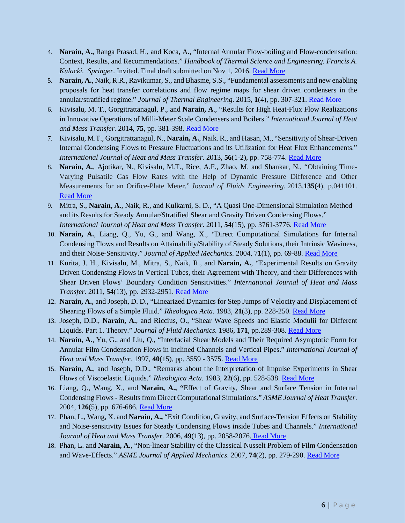- 4. **Narain, A.,** Ranga Prasad, H., and Koca, A., "Internal Annular Flow-boiling and Flow-condensation: Context, Results, and Recommendations." *Handbook of Thermal Science and Engineering. Francis A. Kulacki. Springer*. Invited. Final draft submitted on Nov 1, 2016. [Read More](file://multidrive.iso.mtu.edu/multidrive/my_web_files/NSF-Project-Data-Dissemination%20Folder/Key%20Publications/Narain-et-al-Springer-Handbook-2016.pdf)
- 5. **Narain, A.**, Naik, R.R., Ravikumar, S., and Bhasme, S.S., "Fundamental assessments and new enabling proposals for heat transfer correlations and flow regime maps for shear driven condensers in the annular/stratified regime." *Journal of Thermal Engineering*. 2015, **1**(4), pp. 307-321. [Read More](https://www.researchgate.net/publication/277880875_Fundamental_assessments_and_new_enabling_proposals_for_heat_transfer_correlations_and_flow_regime_maps_for_shear_driven_condensers_in_the_annularstratified_regime)
- 6. Kivisalu, M. T., Gorgitrattanagul, P., and **Narain, A**., "Results for High Heat-Flux Flow Realizations in Innovative Operations of Milli-Meter Scale Condensers and Boilers." *International Journal of Heat and Mass Transfer.* 2014, **75**, pp. 381-398. [Read More](http://www.sciencedirect.com/science/article/pii/S0017931014002622)
- 7. Kivisalu, M.T., Gorgitrattanagul, N., **Narain, A.**, Naik. R., and Hasan, M., "Sensitivity of Shear-Driven Internal Condensing Flows to Pressure Fluctuations and its Utilization for Heat Flux Enhancements." *International Journal of Heat and Mass Transfer.* 2013, **56**(1-2), pp. 758-774. [Read More](http://www.sciencedirect.com/science/article/pii/S0017931012006886)
- 8. **Narain, A.**, Ajotikar, N., Kivisalu, M.T., Rice, A.F., Zhao, M. and Shankar, N., "Obtaining Time-Varying Pulsatile Gas Flow Rates with the Help of Dynamic Pressure Difference and Other Measurements for an Orifice-Plate Meter." *Journal of Fluids Engineering*. 2013,**135**(4), p.041101. [Read More](http://fluidsengineering.asmedigitalcollection.asme.org/article.aspx?articleid=1676064)
- 9. Mitra, S., **Narain, A.**, Naik, R., and Kulkarni, S. D., "A Quasi One-Dimensional Simulation Method and its Results for Steady Annular/Stratified Shear and Gravity Driven Condensing Flows." *International Journal of Heat and Mass Transfer*. 2011, **54**(15), pp. 3761-3776. [Read More](file://multidrive.iso.mtu.edu/multidrive/my_web_files/NSF-Project-Data-Dissemination%20Folder/Key%20Publications/IJHMT_1D_paper_Narain_G_G10018.pdf)
- 10. **Narain, A.**, Liang, Q., Yu, G., and Wang, X., "Direct Computational Simulations for Internal Condensing Flows and Results on Attainability/Stability of Steady Solutions, their Intrinsic Waviness, and their Noise-Sensitivity." *Journal of Applied Mechanics.* 2004, 7**1**(1), pp. 69-88. [Read More](http://appliedmechanics.asmedigitalcollection.asme.org/article.aspx?articleid=1415066)
- 11. Kurita, J. H., Kivisalu, M., Mitra, S., Naik, R., and **Narain, A.**, "Experimental Results on Gravity Driven Condensing Flows in Vertical Tubes, their Agreement with Theory, and their Differences with Shear Driven Flows' Boundary Condition Sensitivities." *International Journal of Heat and Mass Transfer.* 2011, **54**(13), pp. 2932-2951. [Read More](http://www.sciencedirect.com/science/article/pii/S0017931011001232)
- 12. **Narain, A.**, and Joseph, D. D., "Linearized Dynamics for Step Jumps of Velocity and Displacement of Shearing Flows of a Simple Fluid." *Rheologica Acta.* 1983, **21**(3), pp. 228-250. [Read More](http://link.springer.com/article/10.1007/BF01515712)
- 13. Joseph, D.D., **Narain, A.**, and Riccius, O., "Shear Wave Speeds and Elastic Modulii for Different Liquids. Part 1. Theory." *Journal of Fluid Mechanics.* 1986, **171**, pp.289-308. [Read More](https://www.cambridge.org/core/journals/journal-of-fluid-mechanics/article/shear-wave-speeds-and-elastic-moduli-for-different-liquids-part-1-theory/9EF03A27A769131C9FD3906018DE44D2)
- 14. **Narain, A.**, Yu, G., and Liu, Q., "Interfacial Shear Models and Their Required Asymptotic Form for Annular Film Condensation Flows in Inclined Channels and Vertical Pipes." *International Journal of Heat and Mass Transfer.* 1997, **40**(15), pp. 3559 - 3575. [Read More](http://www.sciencedirect.com/science/article/pii/S001793109700001X)
- 15. **Narain, A.**, and Joseph, D.D., "Remarks about the Interpretation of Impulse Experiments in Shear Flows of Viscoelastic Liquids." *Rheologica Acta.* 1983, **22**(6), pp. 528-538. [Read More](http://link.springer.com/article/10.1007/BF01351399)
- 16. Liang, Q., Wang, X., and **Narain, A., "**Effect of Gravity, Shear and Surface Tension in Internal Condensing Flows - Results from Direct Computational Simulations." *ASME Journal of Heat Transfer*. 2004, **126**(5), pp. 676-686. [Read More](http://heattransfer.asmedigitalcollection.asme.org/article.aspx?articleid=1447403)
- 17. Phan, L., Wang, X. and **Narain, A.,** "Exit Condition, Gravity, and Surface-Tension Effects on Stability and Noise-sensitivity Issues for Steady Condensing Flows inside Tubes and Channels." *International Journal of Heat and Mass Transfer.* 2006, **49**(13), pp. 2058-2076. [Read More](http://www.sciencedirect.com/science/article/pii/S0017931006000378)
- 18. Phan, L. and **Narain, A.**, "Non-linear Stability of the Classical Nusselt Problem of Film Condensation and Wave-Effects." *ASME Journal of Applied Mechanics*. 2007, **74**(2), pp. 279-290. [Read More](http://appliedmechanics.asmedigitalcollection.asme.org/article.aspx?articleid=1416493)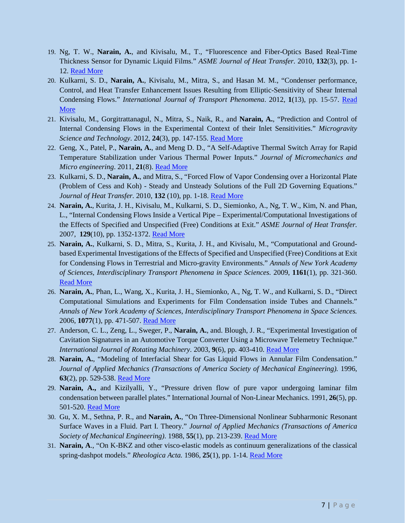- 19. Ng, T. W., **Narain, A.**, and Kivisalu, M., T., "Fluorescence and Fiber-Optics Based Real-Time Thickness Sensor for Dynamic Liquid Films." *ASME Journal of Heat Transfer.* 2010, **132**(3), pp. 1- 12. [Read More](http://proceedings.asmedigitalcollection.asme.org/proceeding.aspx?articleid=1599953)
- 20. Kulkarni, S. D., **Narain, A.**, Kivisalu, M., Mitra, S., and Hasan M. M., "Condenser performance, Control, and Heat Transfer Enhancement Issues Resulting from Elliptic-Sensitivity of Shear Internal Condensing Flows." *International Journal of Transport Phenomena*. 2012, **1**(13), pp. 15-57. [Read](http://www.oldcitypublishing.com/journals/ijtp-home/ijtp-issue-contents/ijtp-volume-13-number-1-2012-13/ijtp-13-1-p-15-57/)  [More](http://www.oldcitypublishing.com/journals/ijtp-home/ijtp-issue-contents/ijtp-volume-13-number-1-2012-13/ijtp-13-1-p-15-57/)
- 21. Kivisalu, M., Gorgitrattanagul, N., Mitra, S., Naik, R., and **Narain, A.**, "Prediction and Control of Internal Condensing Flows in the Experimental Context of their Inlet Sensitivities." *Microgravity Science and Technology*. 2012, **24**(3), pp. 147-155. [Read More](http://link.springer.com/article/10.1007/s12217-011-9287-0)
- 22. Geng, X., Patel, P., **Narain, A.**, and Meng D. D., "A Self-Adaptive Thermal Switch Array for Rapid Temperature Stabilization under Various Thermal Power Inputs." *Journal of Micromechanics and Micro engineering*. 2011, **21**(8). [Read More](http://iopscience.iop.org/article/10.1088/0960-1317/21/8/085018/meta;jsessionid=A6BD1A493359E22D7EADB0349B897FCF.c5.iopscience.cld.iop.org)
- 23. Kulkarni, S. D., **Narain, A.**, and Mitra, S., "Forced Flow of Vapor Condensing over a Horizontal Plate (Problem of Cess and Koh) - Steady and Unsteady Solutions of the Full 2D Governing Equations." *Journal of Heat Transfer.* 2010, **132** (10), pp. 1-18. [Read More](https://heattransfer.asmedigitalcollection.asme.org/Mobile/article.aspx?articleid=1449304)
- 24. **Narain, A.**, Kurita, J. H., Kivisalu, M., Kulkarni, S. D., Siemionko, A., Ng, T. W., Kim, N. and Phan, L., "Internal Condensing Flows Inside a Vertical Pipe – Experimental/Computational Investigations of the Effects of Specified and Unspecified (Free) Conditions at Exit." *ASME Journal of Heat Transfer.* [2007,](file://mtucifs/dfshome/narain/researcher/2010%20Papers-Proposals/NSF-2010/narain-web-resume/jht_oct_03_06.pdf) **129**(10), pp. 1352-1372. [Read More](http://heattransfer.asmedigitalcollection.asme.org/article.aspx?articleid=1448905)
- 25. **Narain, A.**, Kulkarni, S. D., Mitra, S., Kurita, J. H., and Kivisalu, M., "Computational and Groundbased Experimental Investigations of the Effects of Specified and Unspecified (Free) Conditions at Exit for Condensing Flows in Terrestrial and Micro-gravity Environments." *Annals of New York Academy of Sciences, Interdisciplinary Transport Phenomena in Space Sciences.* 2009, **1161**(1), pp. 321-360. [Read More](https://www.ncbi.nlm.nih.gov/pubmed/19426329)
- 26. **Narain, A.**, Phan, L., Wang, X., Kurita, J. H., Siemionko, A., Ng, T. W., and Kulkarni, S. D., "Direct Computational Simulations and Experiments for Film Condensation inside Tubes and Channels." *Annals of New York Academy of Sciences, Interdisciplinary Transport Phenomena in Space Sciences.* 2006, **1077**(1), pp. 471-507. [Read More](https://www.ncbi.nlm.nih.gov/pubmed/17124142)
- 27. Anderson, C. L., Zeng, L., Sweger, P., **Narain, A.**, and. Blough, J. R., "Experimental Investigation of Cavitation Signatures in an Automotive Torque Converter Using a Microwave Telemetry Technique." *International Journal of Rotating Machinery.* 2003, **9**(6), pp. 403-410. [Read More](https://www.researchgate.net/publication/307794137_Experimental_Investigation_of_Cavitation_Signatures_in_an_Automotive_Torque_Converter_Using_a_Microwave_Telemetry_Technique)
- 28. **Narain, A.**, "Modeling of Interfacial Shear for Gas Liquid Flows in Annular Film Condensation." *Journal of Applied Mechanics (Transactions of America Society of Mechanical Engineering).* 1996, **63**(2), pp. 529-538. [Read More](http://appliedmechanics.asmedigitalcollection.asme.org/article.aspx?articleid=1412288)
- 29. **Narain, A.,** and Kizilyalli, Y., "Pressure driven flow of pure vapor undergoing laminar film condensation between parallel plates." International Journal of Non-Linear Mechanics. 1991, **26**(5), pp. 501-520. [Read More](http://www.sciencedirect.com/science/article/pii/002074629190005E)
- 30. Gu, X. M., Sethna, P. R., and **Narain, A.**, "On Three-Dimensional Nonlinear Subharmonic Resonant Surface Waves in a Fluid. Part I. Theory." *Journal of Applied Mechanics (Transactions of America Society of Mechanical Engineering)*. 1988, **55**(1), pp. 213-239. [Read More](http://appliedmechanics.asmedigitalcollection.asme.org/article.aspx?articleid=1409184)
- 31. **Narain, A**., "On K-BKZ and other visco-elastic models as continuum generalizations of the classical spring-dashpot models." *Rheologica Acta.* 1986, **25**(1), pp. 1-14. [Read More](http://link.springer.com/article/10.1007/BF01369974)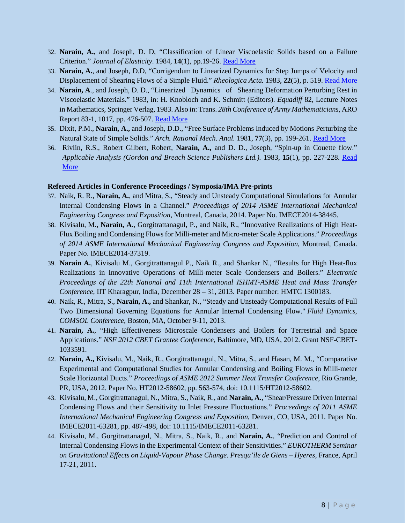- 32. **Narain, A.**, and Joseph, D. D, "Classification of Linear Viscoelastic Solids based on a Failure Criterion." *Journal of Elasticity*. 1984, **14**(1), pp.19-26. [Read More](http://link.springer.com/article/10.1007/BF00041080)
- 33. **Narain, A.**, and Joseph, D.D, "Corrigendum to Linearized Dynamics for Step Jumps of Velocity and Displacement of Shearing Flows of a Simple Fluid." *Rheologica Acta.* 1983, **22**(5), p. 519. [Read More](http://link.springer.com/article/10.1007/BF01462940)
- 34. **Narain, A**., and Joseph, D. D., "Linearized Dynamics of Shearing Deformation Perturbing Rest in Viscoelastic Materials." 1983, in: H. Knobloch and K. Schmitt (Editors). *Equadiff* 82, Lecture Notes in Mathematics, Springer Verlag, 1983. Also in: Trans. *28th Conference of Army Mathematicians*, ARO Report 83-1, 1017, pp. 476-507. [Read More](http://link.springer.com/chapter/10.1007%2FBFb0103274#page-1)
- 35. Dixit, P.M., **Narain, A.,** and Joseph, D.D., "Free Surface Problems Induced by Motions Perturbing the Natural State of Simple Solids." *Arch. Rational Mech. Anal.* 1981, **77**(3), pp. 199-261. [Read More](http://link.springer.com/article/10.1007/BF00279878)
- 36. Rivlin, R.S., Robert Gilbert, Robert, **Narain, A.,** and D. D., Joseph, ["Spin-up in Couette flow.](http://www.tandfonline.com/doi/abs/10.1080/00036818308839449)" *Applicable Analysis (Gordon and Breach Science Publishers Ltd.).* 1983, **15**(1), pp. 227-228. [Read](http://www.tandfonline.com/doi/abs/10.1080/00036818308839449)  [More](http://www.tandfonline.com/doi/abs/10.1080/00036818308839449)

#### **Refereed Articles in Conference Proceedings / Symposia/IMA Pre-prints**

- 37. Naik, R. R., **Narain, A.**, and Mitra, S., "Steady and Unsteady Computational Simulations for Annular Internal Condensing Flows in a Channel." *Proceedings of 2014 ASME International Mechanical Engineering Congress and Exposition*, Montreal, Canada, 2014. Paper No. IMECE2014-38445.
- 38. Kivisalu, M., **Narain, A**., Gorgitrattanagul, P., and Naik, R., "Innovative Realizations of High Heat-Flux Boiling and Condensing Flows for Milli-meter and Micro-meter Scale Applications." *Proceedings of 2014 ASME International Mechanical Engineering Congress and Exposition*, Montreal, Canada. Paper No. IMECE2014-37319.
- 39. **Narain A.**, Kivisalu M., Gorgitrattanagul P., Naik R., and Shankar N., "Results for High Heat-flux Realizations in Innovative Operations of Milli-meter Scale Condensers and Boilers." *Electronic Proceedings of the 22th National and 11th International ISHMT-ASME Heat and Mass Transfer Conference*, IIT Kharagpur, India, December 28 – 31, 2013. Paper number: HMTC 1300183.
- 40. Naik, R., Mitra, S., **Narain, A.,** and Shankar, N., "Steady and Unsteady Computational Results of Full Two Dimensional Governing Equations for Annular Internal Condensing Flow." *Fluid Dynamics*, *COMSOL Conference*, Boston, MA, October 9-11, 2013.
- 41. **Narain, A.**, "High Effectiveness Microscale Condensers and Boilers for Terrestrial and Space Applications." *NSF 2012 CBET Grantee Conference*, Baltimore, MD, USA, 2012. Grant NSF-CBET-1033591.
- 42. **Narain, A.,** Kivisalu, M., Naik, R., Gorgitrattanagul, N., Mitra, S., and Hasan, M. M., "Comparative Experimental and Computational Studies for Annular Condensing and Boiling Flows in Milli-meter Scale Horizontal Ducts." *Proceedings of ASME 2012 Summer Heat Transfer Conference*, Rio Grande, PR, USA, 2012. Paper No. HT2012-58602, pp. 563-574, doi: 10.1115/HT2012-58602*.*
- 43. Kivisalu, M., Gorgitrattanagul, N., Mitra, S., Naik, R., and **Narain, A.**, "Shear/Pressure Driven Internal Condensing Flows and their Sensitivity to Inlet Pressure Fluctuations." *Proceedings of 2011 ASME International Mechanical Engineering Congress and Exposition*, Denver, CO, USA, 2011. Paper No. IMECE2011-63281, pp. 487-498, doi: 10.1115/IMECE2011-63281.
- 44. Kivisalu, M., Gorgitrattanagul, N., Mitra, S., Naik, R., and **Narain, A.**, "Prediction and Control of Internal Condensing Flows in the Experimental Context of their Sensitivities." *EUROTHERM Seminar on Gravitational Effects on Liquid-Vapour Phase Change. Presqu'ile de Giens – Hyeres*, France, April 17-21, 2011.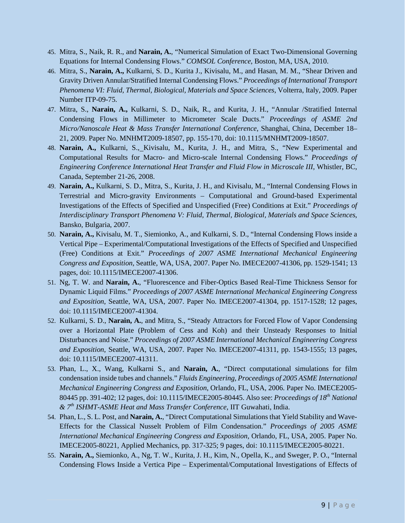- 45. Mitra, S., Naik, R. R., and **Narain, A.**, "Numerical Simulation of Exact Two-Dimensional Governing Equations for Internal Condensing Flows." *COMSOL Conference*, Boston, MA, USA, 2010.
- 46. Mitra, S., **Narain, A.,** Kulkarni, S. D., Kurita J., Kivisalu, M., and Hasan, M. M., "Shear Driven and Gravity Driven Annular/Stratified Internal Condensing Flows." *Proceedings of International Transport Phenomena VI: Fluid, Thermal, Biological, Materials and Space Sciences*, Volterra, Italy, 2009. Paper Number ITP-09-75.
- 47. Mitra, S., **Narain, A.,** Kulkarni, S. D., Naik, R., and Kurita, J. H., "Annular /Stratified Internal Condensing Flows in Millimeter to Micrometer Scale Ducts." *Proceedings of ASME 2nd Micro/Nanoscale Heat & Mass Transfer International Conference*, Shanghai, China, December 18– 21, 2009. Paper No. MNHMT2009-18507, pp. 155-170, doi: 10.1115/MNHMT2009-18507.
- 48. **Narain, A.,** Kulkarni, S., Kivisalu, M., Kurita, J. H., and Mitra, S., "New Experimental and Computational Results for Macro- and Micro-scale Internal Condensing Flows." *Proceedings of Engineering Conference International Heat Transfer and Fluid Flow in Microscale III*, Whistler, BC, Canada, September 21-26, 2008.
- 49. **Narain, A.,** Kulkarni, S. D., Mitra, S., Kurita, J. H., and Kivisalu, M., "Internal Condensing Flows in Terrestrial and Micro-gravity Environments – Computational and Ground-based Experimental Investigations of the Effects of Specified and Unspecified (Free) Conditions at Exit." *Proceedings of Interdisciplinary Transport Phenomena V: Fluid, Thermal, Biological, Materials and Space Sciences*, Bansko, Bulgaria, 2007.
- 50. **Narain, A.,** Kivisalu, M. T., Siemionko, A., and Kulkarni, S. D., "Internal Condensing Flows inside a Vertical Pipe – Experimental/Computational Investigations of the Effects of Specified and Unspecified (Free) Conditions at Exit." *Proceedings of 2007 ASME International Mechanical Engineering Congress and Exposition*, Seattle, WA, USA, 2007. Paper No. IMECE2007-41306, pp. 1529-1541; 13 pages, doi: 10.1115/IMECE2007-41306.
- 51. Ng, T. W. and **Narain, A.**, "Fluorescence and Fiber-Optics Based Real-Time Thickness Sensor for Dynamic Liquid Films." *Proceedings of 2007 ASME International Mechanical Engineering Congress and Exposition*, Seattle, WA, USA, 2007. Paper No. IMECE2007-41304, pp. 1517-1528; 12 pages, doi: 10.1115/IMECE2007-41304.
- 52. Kulkarni, S. D., **Narain, A.**, and Mitra, S., "Steady Attractors for Forced Flow of Vapor Condensing over a Horizontal Plate (Problem of Cess and Koh) and their Unsteady Responses to Initial Disturbances and Noise." *Proceedings of 2007 ASME International Mechanical Engineering Congress and Exposition*, Seattle, WA, USA, 2007. Paper No. IMECE2007-41311, pp. 1543-1555; 13 pages, doi: 10.1115/IMECE2007-41311.
- 53. Phan, L., X., Wang, Kulkarni S., and **Narain, A.**, "Direct computational simulations for film condensation inside tubes and channels." *Fluids Engineering, Proceedings of 2005 ASME International Mechanical Engineering Congress and Exposition*, Orlando, FL, USA, 2006. Paper No. IMECE2005- 80445 pp. 391-402; 12 pages, doi: 10.1115/IMECE2005-80445. Also see: *Proceedings of 18th National & 7th ISHMT-ASME Heat and Mass Transfer Conference*, IIT Guwahati, India.
- 54. Phan, L., S. L. Post, and **Narain, A.**, "Direct Computational Simulations that Yield Stability and Wave-Effects for the Classical Nusselt Problem of Film Condensation." *Proceedings of 2005 ASME International Mechanical Engineering Congress and Exposition,* Orlando, FL, USA, 2005. Paper No. IMECE2005-80221, Applied Mechanics, pp. 317-325; 9 pages, doi: 10.1115/IMECE2005-80221.
- 55. **Narain, A.,** Siemionko, A., Ng, T. W., Kurita, J. H., Kim, N., Opella, K., and Sweger, P. O., "Internal Condensing Flows Inside a Vertica Pipe – Experimental/Computational Investigations of Effects of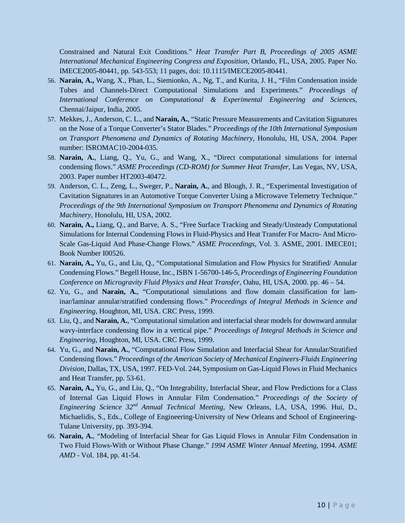Constrained and Natural Exit Conditions." *Heat Transfer Part B, Proceedings of 2005 ASME International Mechanical Engineering Congress and Exposition*, Orlando, FL, USA, 2005. Paper No. IMECE2005-80441, pp. 543-553; 11 pages, doi: 10.1115/IMECE2005-80441.

- 56. **Narain, A.,** Wang, X., Phan, L., Siemionko, A., Ng, T., and Kurita, J. H., "Film Condensation inside Tubes and Channels-Direct Computational Simulations and Experiments." *Proceedings of International Conference on Computational & Experimental Engineering and Sciences*, Chennai/Jaipur, India, 2005.
- 57. Mekkes, J., Anderson, C. L., and **Narain, A.**, "Static Pressure Measurements and Cavitation Signatures on the Nose of a Torque Converter's Stator Blades." *Proceedings of the 10th International Symposium on Transport Phenomena and Dynamics of Rotating Machinery*, Honolulu, HI, USA, 2004. Paper number: ISROMAC10-2004-035.
- 58. **Narain, A.**, Liang, Q., Yu, G., and Wang, X., "Direct computational simulations for internal condensing flows." *ASME Proceedings (CD-ROM) for Summer Heat Transfer*, Las Vegas, NV, USA, 2003. Paper number HT2003-40472.
- 59. Anderson, C. L., Zeng, L., Sweger, P., **Narain, A.**, and Blough, J. R., "Experimental Investigation of Cavitation Signatures in an Automotive Torque Converter Using a Microwave Telemetry Technique." *Proceedings of the 9th International Symposium on Transport Phenomena and Dynamics of Rotating Machinery*, Honolulu, HI, USA, 2002.
- 60. **Narain, A.,** Liang, Q., and Barve, A. S., "Free Surface Tracking and Steady/Unsteady Computational Simulations for Internal Condensing Flows in Fluid-Physics and Heat Transfer For Macro- And Micro-Scale Gas-Liquid And Phase-Change Flows." *ASME Proceedings*, Vol. 3. ASME, 2001. IMECE01; Book Number I00526.
- 61. **Narain, A.,** Yu, G., and Liu, Q., "Computational Simulation and Flow Physics for Stratified/ Annular Condensing Flows." Begell House, Inc., ISBN 1-56700-146-5, *Proceedings of Engineering Foundation Conference on Microgravity Fluid Physics and Heat Transfer*, Oahu, HI, USA, 2000. pp. 46 – 54.
- 62. Yu, G., and **Narain, A.**, "Computational simulations and flow domain classification for laminar/laminar annular/stratified condensing flows." *Proceedings of Integral Methods in Science and Engineering*, Houghton, MI, USA. CRC Press, 1999.
- 63. Liu, Q., and **Narain, A.**, "Computational simulation and interfacial shear models for downward annular wavy-interface condensing flow in a vertical pipe." *Proceedings of Integral Methods in Science and Engineering*, Houghton, MI, USA. CRC Press, 1999.
- 64. Yu, G., and **Narain, A.**, "Computational Flow Simulation and Interfacial Shear for Annular/Stratified Condensing flows." *Proceedings of the American Society of Mechanical Engineers-Fluids Engineering Division*, Dallas, TX, USA, 1997. FED-Vol. 244, Symposium on Gas-Liquid Flows in Fluid Mechanics and Heat Transfer, pp. 53-61.
- 65. **Narain, A.,** Yu, G., and Liu, Q., "On Integrability, Interfacial Shear, and Flow Predictions for a Class of Internal Gas Liquid Flows in Annular Film Condensation." *Proceedings of the Society of Engineering Science 32nd Annual Technical Meeting*, New Orleans, LA, USA, 1996. Hui, D., Michaelidis, S., Eds., College of Engineering-University of New Orleans and School of Engineering-Tulane University, pp. 393-394.
- 66. **Narain, A.**, "Modeling of Interfacial Shear for Gas Liquid Flows in Annular Film Condensation in Two Fluid Flows-With or Without Phase Change." *1994 ASME Winter Annual Meeting*, 1994. *ASME AMD* - Vol. 184, pp. 41-54.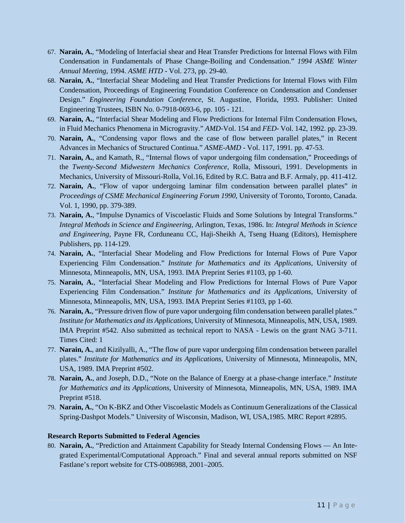- 67. **Narain, A.**, "Modeling of Interfacial shear and Heat Transfer Predictions for Internal Flows with Film Condensation in Fundamentals of Phase Change-Boiling and Condensation." *1994 ASME Winter Annual Meeting*, 1994. *ASME HTD* - Vol. 273, pp. 29-40.
- 68. **Narain, A.**, "Interfacial Shear Modeling and Heat Transfer Predictions for Internal Flows with Film Condensation, Proceedings of Engineering Foundation Conference on Condensation and Condenser Design." *Engineering Foundation Conference*, St. Augustine, Florida, 1993. Publisher: United Engineering Trustees, ISBN No. 0-7918-0693-6, pp. 105 - 121.
- 69. **Narain, A.**, "Interfacial Shear Modeling and Flow Predictions for Internal Film Condensation Flows, in Fluid Mechanics Phenomena in Microgravity." *AMD*-Vol. 154 and *FED*- Vol. 142, 1992. pp. 23-39.
- 70. **Narain, A.**, "Condensing vapor flows and the case of flow between parallel plates," in Recent Advances in Mechanics of Structured Continua." *ASME-AMD* - Vol. 117, 1991. pp. 47-53.
- 71. **Narain, A.**, and Kamath, R., "Internal flows of vapor undergoing film condensation," Proceedings of the *Twenty-Second Midwestern Mechanics Conference*, Rolla, Missouri, 1991. Developments in Mechanics*,* University of Missouri-Rolla, Vol.16, Edited by R.C. Batra and B.F. Armaly, pp. 411-412.
- 72. **Narain, A.**, "Flow of vapor undergoing laminar film condensation between parallel plates" *in Proceedings of CSME Mechanical Engineering Forum 1990*, University of Toronto, Toronto, Canada. Vol. 1, 1990, pp. 379-389.
- 73. **Narain, A.**, "Impulse Dynamics of Viscoelastic Fluids and Some Solutions by Integral Transforms." *Integral Methods in Science and Engineering*, Arlington, Texas, 1986. In: *Integral Methods in Science and Engineering*, Payne FR, Corduneanu CC, Haji-Sheikh A, Tseng Huang (Editors), Hemisphere Publishers, pp. 114-129.
- 74. **Narain, A.**, "Interfacial Shear Modeling and Flow Predictions for Internal Flows of Pure Vapor Experiencing Film Condensation." *Institute for Mathematics and its Applications*, University of Minnesota, Minneapolis, MN, USA, 1993. IMA Preprint Series #1103, pp 1-60.
- 75. **Narain, A.**, "Interfacial Shear Modeling and Flow Predictions for Internal Flows of Pure Vapor Experiencing Film Condensation." *Institute for Mathematics and its Applications*, University of Minnesota, Minneapolis, MN, USA, 1993. IMA Preprint Series #1103, pp 1-60.
- 76. **Narain, A.**, "Pressure driven flow of pure vapor undergoing film condensation between parallel plates." *Institute for Mathematics and its Applications*, University of Minnesota, Minneapolis, MN, USA, 1989. IMA Preprint #542. Also submitted as technical report to NASA - Lewis on the grant NAG 3-711. Times Cited: 1
- 77. **Narain, A.**, and Kizilyalli, A., "The flow of pure vapor undergoing film condensation between parallel plates." *Institute for Mathematics and its Applications*, University of Minnesota, Minneapolis, MN, USA, 1989. IMA Preprint #502.
- 78. **Narain, A.**, and Joseph, D.D., "Note on the Balance of Energy at a phase-change interface." *Institute for Mathematics and its Applications*, University of Minnesota, Minneapolis, MN, USA, 1989. IMA Preprint #518.
- 79. **Narain, A.**, "On K-BKZ and Other Viscoelastic Models as Continuum Generalizations of the Classical Spring-Dashpot Models." University of Wisconsin, Madison, WI, USA,1985. MRC Report #2895.

## **Research Reports Submitted to Federal Agencies**

80. **Narain, A.**, "Prediction and Attainment Capability for Steady Internal Condensing Flows — An Integrated Experimental/Computational Approach." Final and several annual reports submitted on NSF Fastlane's report website for CTS-0086988, 2001–2005.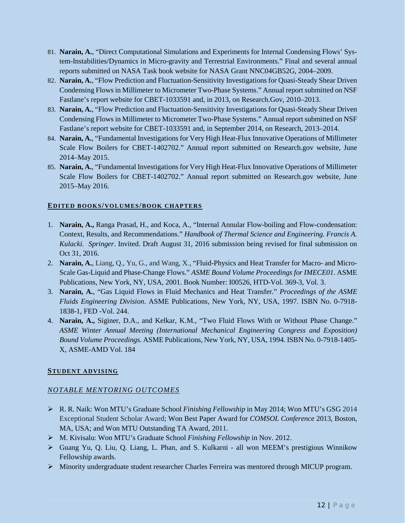- 81. **Narain, A.**, "Direct Computational Simulations and Experiments for Internal Condensing Flows' System-Instabilities/Dynamics in Micro-gravity and Terrestrial Environments." Final and several annual reports submitted on NASA Task book website for NASA Grant NNC04GB52G, 2004–2009.
- 82. **Narain, A.**, "Flow Prediction and Fluctuation-Sensitivity Investigations for Quasi-Steady Shear Driven Condensing Flows in Millimeter to Micrometer Two-Phase Systems." Annual report submitted on NSF Fastlane's report website for CBET-1033591 and, in 2013, on Research.Gov, 2010–2013.
- 83. **Narain, A.**, "Flow Prediction and Fluctuation-Sensitivity Investigations for Quasi-Steady Shear Driven Condensing Flows in Millimeter to Micrometer Two-Phase Systems." Annual report submitted on NSF Fastlane's report website for CBET-1033591 and, in September 2014, on Research, 2013–2014.
- 84. **Narain, A.**, "Fundamental Investigations for Very High Heat-Flux Innovative Operations of Millimeter Scale Flow Boilers for CBET-1402702." Annual report submitted on Research.gov website, June 2014–May 2015.
- 85. **Narain, A.**, "Fundamental Investigations for Very High Heat-Flux Innovative Operations of Millimeter Scale Flow Boilers for CBET-1402702." Annual report submitted on Research.gov website, June 2015–May 2016.

## **EDITED BOOKS/VOLUMES/BOOK CHAPTERS**

- 1. **Narain, A.,** Ranga Prasad, H., and Koca, A., "Internal Annular Flow-boiling and Flow-condensation: Context, Results, and Recommendations." *Handbook of Thermal Science and Engineering. Francis A. Kulacki. Springer*. Invited. Draft August 31, 2016 submission being revised for final submission on Oct 31, 2016.
- 2. **Narain, A.**, Liang, Q., Yu, G., and Wang, X., "Fluid-Physics and Heat Transfer for Macro- and Micro-Scale Gas-Liquid and Phase-Change Flows." *ASME Bound Volume Proceedings for IMECE01*. ASME Publications, New York, NY, USA, 2001. Book Number: I00526, HTD-Vol. 369-3, Vol. 3.
- 3. **Narain, A.**, "Gas Liquid Flows in Fluid Mechanics and Heat Transfer." *Proceedings of the ASME Fluids Engineering Division*. ASME Publications, New York, NY, USA, 1997. ISBN No. 0-7918- 1838-1, FED -Vol. 244.
- 4. **Narain, A.,** Siginer, D.A., and Kelkar, K.M., "Two Fluid Flows With or Without Phase Change." *ASME Winter Annual Meeting (International Mechanical Engineering Congress and Exposition) Bound Volume Proceedings*. ASME Publications, New York, NY, USA, 1994. ISBN No. 0-7918-1405- X*,* ASME-AMD Vol. 184

# **STUDENT ADVISING**

# *NOTABLE MENTORING OUTCOMES*

- R. R. Naik: Won MTU's Graduate School *Finishing Fellowship* in May 2014; Won MTU's GSG 2014 Exceptional Student Scholar Award; Won Best Paper Award for *COMSOL Conference* 2013, Boston, MA, USA; and Won MTU Outstanding TA Award, 2011.
- M. Kivisalu: Won MTU's Graduate School *Finishing Fellowship* in Nov. 2012.
- Guang Yu, Q. Liu, Q. Liang, L. Phan, and S. Kulkarni all won MEEM's prestigious Winnikow Fellowship awards.
- Minority undergraduate student researcher Charles Ferreira was mentored through MICUP program.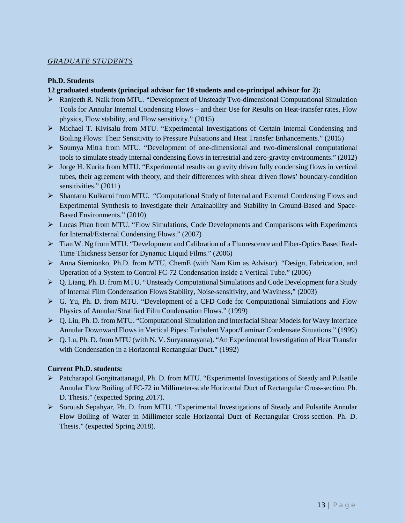## *GRADUATE STUDENTS*

#### **Ph.D. Students**

## **12 graduated students (principal advisor for 10 students and co-principal advisor for 2):**

- Ranjeeth R. Naik from MTU. "Development of Unsteady Two-dimensional Computational Simulation Tools for Annular Internal Condensing Flows – and their Use for Results on Heat-transfer rates, Flow physics, Flow stability, and Flow sensitivity." (2015)
- Michael T. Kivisalu from MTU. "Experimental Investigations of Certain Internal Condensing and Boiling Flows: Their Sensitivity to Pressure Pulsations and Heat Transfer Enhancements." (2015)
- $\triangleright$  Soumya Mitra from MTU. "Development of one-dimensional and two-dimensional computational tools to simulate steady internal condensing flows in terrestrial and zero-gravity environments." (2012)
- Jorge H. Kurita from MTU. "Experimental results on gravity driven fully condensing flows in vertical tubes, their agreement with theory, and their differences with shear driven flows' boundary-condition sensitivities." (2011)
- Shantanu Kulkarni from MTU. "Computational Study of Internal and External Condensing Flows and Experimental Synthesis to Investigate their Attainability and Stability in Ground-Based and Space-Based Environments." (2010)
- Lucas Phan from MTU. "Flow Simulations, Code Developments and Comparisons with Experiments for Internal/External Condensing Flows." (2007)
- Tian W. Ng from MTU. "Development and Calibration of a Fluorescence and Fiber-Optics Based Real-Time Thickness Sensor for Dynamic Liquid Films." (2006)
- Anna Siemionko, Ph.D. from MTU, ChemE (with Nam Kim as Advisor). "Design, Fabrication, and Operation of a System to Control FC-72 Condensation inside a Vertical Tube." (2006)
- Q. Liang, Ph. D. from MTU. "Unsteady Computational Simulations and Code Development for a Study of Internal Film Condensation Flows Stability, Noise-sensitivity, and Waviness," (2003)
- G. Yu, Ph. D. from MTU. "Development of a CFD Code for Computational Simulations and Flow Physics of Annular/Stratified Film Condensation Flows." (1999)
- $\triangleright$  Q. Liu, Ph. D. from MTU. "Computational Simulation and Interfacial Shear Models for Wavy Interface Annular Downward Flows in Vertical Pipes: Turbulent Vapor/Laminar Condensate Situations." (1999)
- Q. Lu, Ph. D. from MTU (with N. V. Suryanarayana). "An Experimental Investigation of Heat Transfer with Condensation in a Horizontal Rectangular Duct." (1992)

## **Current Ph.D. students:**

- Patcharapol Gorgitrattanagul, Ph. D. from MTU. "Experimental Investigations of Steady and Pulsatile Annular Flow Boiling of FC-72 in Millimeter-scale Horizontal Duct of Rectangular Cross-section. Ph. D. Thesis." (expected Spring 2017).
- $\triangleright$  Soroush Sepahyar, Ph. D. from MTU. "Experimental Investigations of Steady and Pulsatile Annular Flow Boiling of Water in Millimeter-scale Horizontal Duct of Rectangular Cross-section. Ph. D. Thesis." (expected Spring 2018).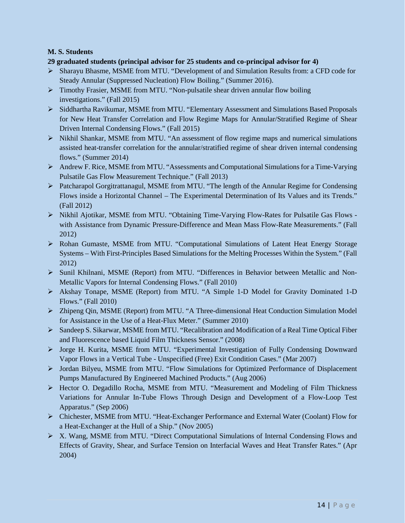# **M. S. Students**

## **29 graduated students (principal advisor for 25 students and co-principal advisor for 4)**

- Sharayu Bhasme, MSME from MTU. "Development of and Simulation Results from: a CFD code for Steady Annular (Suppressed Nucleation) Flow Boiling." (Summer 2016).
- Timothy Frasier, MSME from MTU. "Non-pulsatile shear driven annular flow boiling investigations." (Fall 2015)
- Siddhartha Ravikumar, MSME from MTU. "Elementary Assessment and Simulations Based Proposals for New Heat Transfer Correlation and Flow Regime Maps for Annular/Stratified Regime of Shear Driven Internal Condensing Flows." (Fall 2015)
- Nikhil Shankar, MSME from MTU. "An assessment of flow regime maps and numerical simulations assisted heat-transfer correlation for the annular/stratified regime of shear driven internal condensing flows." (Summer 2014)
- Andrew F. Rice, MSME from MTU. "Assessments and Computational Simulations for a Time-Varying Pulsatile Gas Flow Measurement Technique." (Fall 2013)
- $\triangleright$  Patcharapol Gorgitrattanagul, MSME from MTU. "The length of the Annular Regime for Condensing Flows inside a Horizontal Channel – The Experimental Determination of Its Values and its Trends." (Fall 2012)
- Nikhil Ajotikar, MSME from MTU. "Obtaining Time-Varying Flow-Rates for Pulsatile Gas Flows with Assistance from Dynamic Pressure-Difference and Mean Mass Flow-Rate Measurements." (Fall 2012)
- Rohan Gumaste, MSME from MTU. "Computational Simulations of Latent Heat Energy Storage Systems – With First-Principles Based Simulations for the Melting Processes Within the System." (Fall 2012)
- Sunil Khilnani, MSME (Report) from MTU. "Differences in Behavior between Metallic and Non-Metallic Vapors for Internal Condensing Flows." (Fall 2010)
- Akshay Tonape, MSME (Report) from MTU. "A Simple 1-D Model for Gravity Dominated 1-D Flows." (Fall 2010)
- Zhipeng Qin, MSME (Report) from MTU. "A Three-dimensional Heat Conduction Simulation Model for Assistance in the Use of a Heat-Flux Meter." (Summer 2010)
- Sandeep S. Sikarwar, MSME from MTU. "Recalibration and Modification of a Real Time Optical Fiber and Fluorescence based Liquid Film Thickness Sensor." (2008)
- Jorge H. Kurita, MSME from MTU. "Experimental Investigation of Fully Condensing Downward Vapor Flows in a Vertical Tube - Unspecified (Free) Exit Condition Cases." (Mar 2007)
- Jordan Bilyeu, MSME from MTU. "Flow Simulations for Optimized Performance of Displacement Pumps Manufactured By Engineered Machined Products." (Aug 2006)
- Hector O. Degadillo Rocha, MSME from MTU. "Measurement and Modeling of Film Thickness Variations for Annular In-Tube Flows Through Design and Development of a Flow-Loop Test Apparatus." (Sep 2006)
- Chichester, MSME from MTU. "Heat-Exchanger Performance and External Water (Coolant) Flow for a Heat-Exchanger at the Hull of a Ship." (Nov 2005)
- X. Wang, MSME from MTU. "Direct Computational Simulations of Internal Condensing Flows and Effects of Gravity, Shear, and Surface Tension on Interfacial Waves and Heat Transfer Rates." (Apr 2004)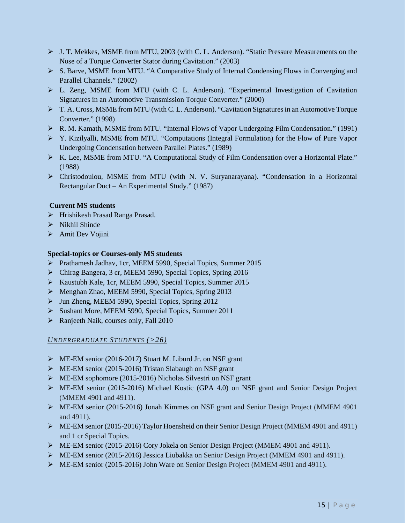- J. T. Mekkes, MSME from MTU, 2003 (with C. L. Anderson). "Static Pressure Measurements on the Nose of a Torque Converter Stator during Cavitation." (2003)
- S. Barve, MSME from MTU. "A Comparative Study of Internal Condensing Flows in Converging and Parallel Channels." (2002)
- L. Zeng, MSME from MTU (with C. L. Anderson). "Experimental Investigation of Cavitation Signatures in an Automotive Transmission Torque Converter." (2000)
- T. A. Cross, MSME from MTU (with C. L. Anderson). "Cavitation Signatures in an Automotive Torque Converter." (1998)
- R. M. Kamath, MSME from MTU. "Internal Flows of Vapor Undergoing Film Condensation." (1991)
- Y. Kizilyalli, MSME from MTU. "Computations (Integral Formulation) for the Flow of Pure Vapor Undergoing Condensation between Parallel Plates." (1989)
- K. Lee, MSME from MTU. "A Computational Study of Film Condensation over a Horizontal Plate." (1988)
- Christodoulou, MSME from MTU (with N. V. Suryanarayana). "Condensation in a Horizontal Rectangular Duct – An Experimental Study." (1987)

## **Current MS students**

- > Hrishikesh Prasad Ranga Prasad.
- $\triangleright$  Nikhil Shinde
- > Amit Dev Vojini

## **Special-topics or Courses-only MS students**

- Prathamesh Jadhav, 1cr, MEEM 5990, Special Topics, Summer 2015
- Chirag Bangera, 3 cr, MEEM 5990, Special Topics, Spring 2016
- Kaustubh Kale, 1cr, MEEM 5990, Special Topics, Summer 2015
- Menghan Zhao, MEEM 5990, Special Topics, Spring 2013
- > Jun Zheng, MEEM 5990, Special Topics, Spring 2012
- Sushant More, MEEM 5990, Special Topics, Summer 2011
- Ranjeeth Naik, courses only, Fall 2010

## *UNDERGRADUATE STUDENTS (>26)*

- ME-EM senior (2016-2017) Stuart M. Liburd Jr. on NSF grant
- $\triangleright$  ME-EM senior (2015-2016) Tristan Slabaugh on NSF grant
- ME-EM sophomore (2015-2016) Nicholas Silvestri on NSF grant
- ME-EM senior (2015-2016) Michael Kostic (GPA 4.0) on NSF grant and Senior Design Project (MMEM 4901 and 4911).
- ME-EM senior (2015-2016) Jonah Kimmes on NSF grant and Senior Design Project (MMEM 4901 and 4911).
- ME-EM senior (2015-2016) Taylor Hoensheid on their Senior Design Project (MMEM 4901 and 4911) and 1 cr Special Topics.
- ME-EM senior (2015-2016) Cory Jokela on Senior Design Project (MMEM 4901 and 4911).
- ME-EM senior (2015-2016) Jessica Liubakka on Senior Design Project (MMEM 4901 and 4911).
- ME-EM senior (2015-2016) John Ware on Senior Design Project (MMEM 4901 and 4911).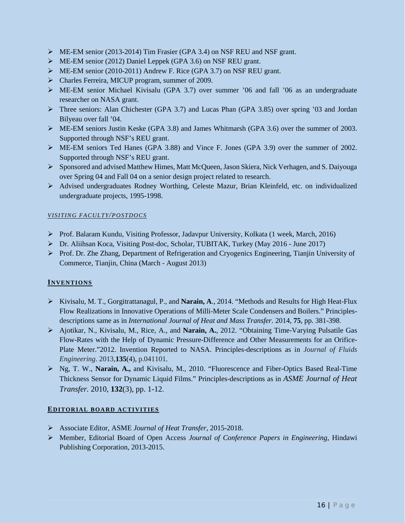- $\triangleright$  ME-EM senior (2013-2014) Tim Frasier (GPA 3.4) on NSF REU and NSF grant.
- ME-EM senior (2012) Daniel Leppek (GPA 3.6) on NSF REU grant.
- ME-EM senior (2010-2011) Andrew F. Rice (GPA 3.7) on NSF REU grant.
- Charles Ferreira, MICUP program, summer of 2009.
- ME-EM senior Michael Kivisalu (GPA 3.7) over summer '06 and fall '06 as an undergraduate researcher on NASA grant.
- $\triangleright$  Three seniors: Alan Chichester (GPA 3.7) and Lucas Phan (GPA 3.85) over spring '03 and Jordan Bilyeau over fall '04.
- $\triangleright$  ME-EM seniors Justin Keske (GPA 3.8) and James Whitmarsh (GPA 3.6) over the summer of 2003. Supported through NSF's REU grant.
- ME-EM seniors Ted Hanes (GPA 3.88) and Vince F. Jones (GPA 3.9) over the summer of 2002. Supported through NSF's REU grant.
- Sponsored and advised Matthew Himes, Matt McQueen, Jason Skiera, Nick Verhagen, and S. Daiyouga over Spring 04 and Fall 04 on a senior design project related to research.
- Advised undergraduates Rodney Worthing, Celeste Mazur, Brian Kleinfeld, etc. on individualized undergraduate projects, 1995-1998.

## *VISITING FACULTY/POSTDOCS*

- Prof. Balaram Kundu, Visiting Professor, Jadavpur University, Kolkata (1 week, March, 2016)
- Dr. Aliihsan Koca, Visiting Post-doc, Scholar, TUBITAK, Turkey (May 2016 June 2017)
- Prof. Dr. Zhe Zhang, Department of Refrigeration and Cryogenics Engineering, Tianjin University of Commerce, Tianjin, China (March - August 2013)

## **INVENTIONS**

- Kivisalu, M. T., Gorgitrattanagul, P., and **Narain, A**., 2014. "Methods and Results for High Heat-Flux Flow Realizations in Innovative Operations of Milli-Meter Scale Condensers and Boilers." Principlesdescriptions same as in *International Journal of Heat and Mass Transfer.* 2014, **75**, pp. 381-398.
- Ajotikar, N., Kivisalu, M., Rice, A., and **Narain, A.**, 2012. "Obtaining Time-Varying Pulsatile Gas Flow-Rates with the Help of Dynamic Pressure-Difference and Other Measurements for an Orifice-Plate Meter."2012. Invention Reported to NASA. Principles-descriptions as in *Journal of Fluids Engineering*. 2013,**135**(4), p.041101.
- Ng, T. W., **Narain, A.,** and Kivisalu, M., 2010. "Fluorescence and Fiber-Optics Based Real-Time Thickness Sensor for Dynamic Liquid Films." Principles-descriptions as in *ASME Journal of Heat Transfer.* 2010, **132**(3), pp. 1-12.

## **EDITORIAL BOARD ACTIVITIES**

- Associate Editor, ASME *Journal of Heat Transfer*, 2015-2018.
- Member, Editorial Board of Open Access *Journal of Conference Papers in Engineering*, Hindawi Publishing Corporation, 2013-2015.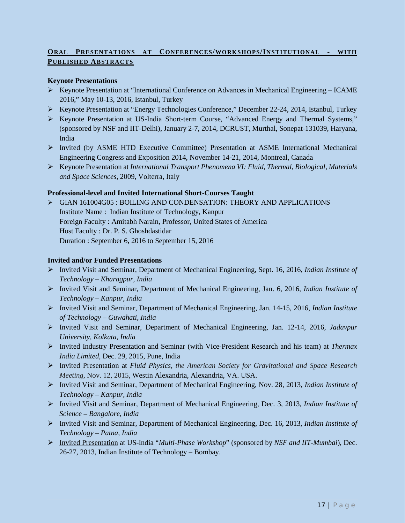# **ORAL PRESENTATIONS AT CONFERENCES/WORKSHOPS/INSTITUTIONAL - WITH PUBLISHED ABSTRACTS**

# **Keynote Presentations**

- $\triangleright$  Keynote Presentation at "International Conference on Advances in Mechanical Engineering ICAME 2016," May 10-13, 2016, Istanbul, Turkey
- $\triangleright$  Keynote Presentation at "Energy Technologies Conference," December 22-24, 2014, Istanbul, Turkey
- Keynote Presentation at US-India Short-term Course, "Advanced Energy and Thermal Systems," (sponsored by NSF and IIT-Delhi), January 2-7, 2014, DCRUST, Murthal, Sonepat-131039, Haryana, India
- $\triangleright$  Invited (by ASME HTD Executive Committee) Presentation at ASME International Mechanical Engineering Congress and Exposition 2014, November 14-21, 2014, Montreal, Canada
- Keynote Presentation at *International Transport Phenomena VI: Fluid, Thermal, Biological, Materials and Space Sciences*, 2009, Volterra, Italy

# **Professional-level and Invited International Short-Courses Taught**

 GIAN [161004G05](http://www.gian.iitkgp.ac.in/files/brochures/BR1466143050GIAN_Course_Brochure_Dr__P_S__Ghoshdastidar.pdf) [: BOILING AND CONDENSATION: THEORY AND APPLICATIONS](http://www.gian.iitkgp.ac.in/files/brochures/BR1466143050GIAN_Course_Brochure_Dr__P_S__Ghoshdastidar.pdf) Institute Name : Indian Institute of Technology, Kanpur Foreign Faculty : Amitabh Narain, Professor, United States of America Host Faculty : Dr. P. S. Ghoshdastidar Duration : September 6, 2016 to September 15, 2016

#### **Invited and/or Funded Presentations**

- Invited Visit and Seminar, Department of Mechanical Engineering, Sept. 16, 2016, *Indian Institute of Technology – Kharagpur, India*
- Invited Visit and Seminar, Department of Mechanical Engineering, Jan. 6, 2016, *Indian Institute of Technology – Kanpur, India*
- Invited Visit and Seminar, Department of Mechanical Engineering, Jan. 14-15, 2016, *Indian Institute of Technology – Guwahati, India*
- Invited Visit and Seminar, Department of Mechanical Engineering, Jan. 12-14, 2016, *Jadavpur University, Kolkata, India*
- Invited Industry Presentation and Seminar (with Vice-President Research and his team) at *Thermax India Limited*, Dec. 29, 2015, Pune, India
- Invited Presentation at *Fluid Physics, the American Society for Gravitational and Space Research Meeting*, Nov. 12, 2015, Westin Alexandria, Alexandria, VA. USA.
- Invited Visit and Seminar, Department of Mechanical Engineering, Nov. 28, 2013, *Indian Institute of Technology – Kanpur, India*
- Invited Visit and Seminar, Department of Mechanical Engineering, Dec. 3, 2013, *Indian Institute of Science – Bangalore, India*
- Invited Visit and Seminar, Department of Mechanical Engineering, Dec. 16, 2013, *Indian Institute of Technology – Patna, India*
- Invited Presentation at US-India "*Multi-Phase Workshop*" (sponsored by *NSF and IIT-Mumbai*), Dec. 26-27, 2013, Indian Institute of Technology – Bombay.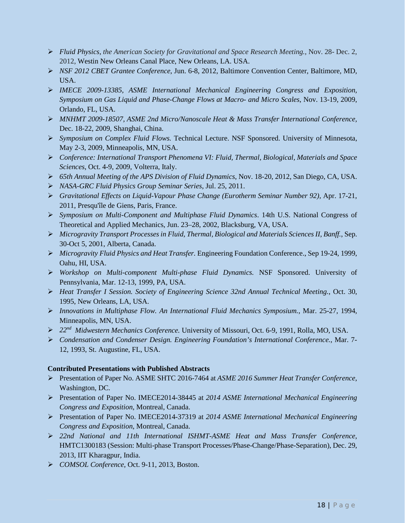- *Fluid Physics, the American Society for Gravitational and Space Research Meeting.*, Nov. 28- Dec. 2, 2012, Westin New Orleans Canal Place, New Orleans, LA. USA.
- *NSF 2012 CBET Grantee Conference*, Jun. 6-8, 2012, Baltimore Convention Center, Baltimore, MD, USA.
- *IMECE 2009-13385, ASME International Mechanical Engineering Congress and Exposition, Symposium on Gas Liquid and Phase-Change Flows at Macro- and Micro Scales*, Nov. 13-19, 2009, Orlando, FL, USA.
- *MNHMT 2009-18507, ASME 2nd Micro/Nanoscale Heat & Mass Transfer International Conference,* Dec. 18-22, 2009, Shanghai, China.
- *Symposium on Complex Fluid Flows.* Technical Lecture. NSF Sponsored. University of Minnesota, May 2-3, 2009, Minneapolis, MN, USA.
- *Conference: International Transport Phenomena VI: Fluid, Thermal, Biological, Materials and Space Sciences*, Oct. 4-9, 2009, Volterra, Italy.
- *65th Annual Meeting of the APS Division of Fluid Dynamics*, Nov. 18-20, 2012, San Diego, CA, USA.
- *NASA-GRC Fluid Physics Group Seminar Series*, Jul. 25, 2011.
- *Gravitational Effects on Liquid-Vapour Phase Change (Eurotherm Seminar Number 92),* Apr. 17-21, 2011, Presqu'île de Giens, Paris, France.
- *Symposium on Multi-Component and Multiphase Fluid Dynamics*. 14th U.S. National Congress of Theoretical and Applied Mechanics, Jun. 23–28, 2002, Blacksburg, VA, USA.
- *Microgravity Transport Processes in Fluid, Thermal, Biological and Materials Sciences II, Banff.*, Sep. 30-Oct 5, 2001, Alberta, Canada.
- *Microgravity Fluid Physics and Heat Transfer.* Engineering Foundation Conference., Sep 19-24, 1999, Oahu, HI, USA.
- *Workshop on Multi-component Multi-phase Fluid Dynamics.* NSF Sponsored. University of Pennsylvania, Mar. 12-13, 1999, PA, USA.
- *Heat Transfer I Session. Society of Engineering Science 32nd Annual Technical Meeting.*, Oct. 30, 1995, New Orleans, LA, USA.
- *Innovations in Multiphase Flow. An International Fluid Mechanics Symposium.*, Mar. 25-27, 1994, Minneapolis, MN, USA.
- *22nd Midwestern Mechanics Conference.* University of Missouri, Oct. 6-9, 1991, Rolla, MO, USA.
- *Condensation and Condenser Design. Engineering Foundation's International Conference.*, Mar. 7- 12, 1993, St. Augustine, FL, USA.

# **Contributed Presentations with Published Abstracts**

- Presentation of Paper No. ASME SHTC 2016-7464 at *ASME 2016 Summer Heat Transfer Conference*, Washington, DC.
- Presentation of Paper No. IMECE2014-38445 at *2014 ASME International Mechanical Engineering Congress and Exposition*, Montreal, Canada.
- Presentation of Paper No. IMECE2014-37319 at *2014 ASME International Mechanical Engineering Congress and Exposition*, Montreal, Canada.
- *22nd National and 11th International ISHMT-ASME Heat and Mass Transfer Conference*, HMTC1300183 (Session: Multi-phase Transport Processes/Phase-Change/Phase-Separation), Dec. 29, 2013, IIT Kharagpur, India.
- *COMSOL Conference*, Oct. 9-11, 2013, Boston.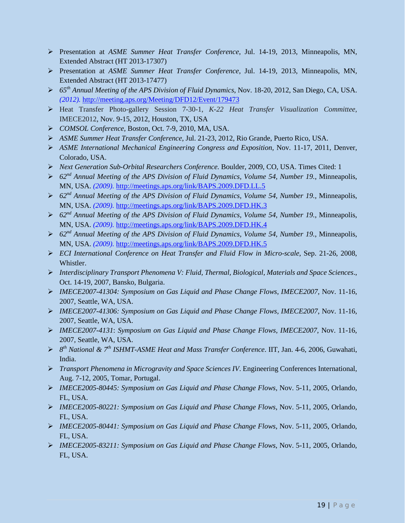- Presentation at *ASME Summer Heat Transfer Conference*, Jul. 14-19, 2013, Minneapolis, MN, Extended Abstract (HT 2013-17307)
- Presentation at *ASME Summer Heat Transfer Conference*, Jul. 14-19, 2013, Minneapolis, MN, Extended Abstract (HT 2013-17477)
- *65th Annual Meeting of the APS Division of Fluid Dynamics*, Nov. 18-20, 2012, San Diego, CA, USA. *(2012).* <http://meeting.aps.org/Meeting/DFD12/Event/179473>
- Heat Transfer Photo-gallery Session 7-30-1, *K-22 Heat Transfer Visualization Committee*, IMECE2012, Nov. 9-15, 2012, Houston, TX, USA
- *COMSOL Conference,* Boston, Oct. 7-9, 2010, MA, USA.
- *ASME Summer Heat Transfer Conference*, Jul. 21-23, 2012, Rio Grande, Puerto Rico, USA.
- *ASME International Mechanical Engineering Congress and Exposition,* Nov. 11-17, 2011, Denver, Colorado, USA.
- *Next Generation Sub-Orbital Researchers Conference.* Boulder, 2009, CO, USA. Times Cited: 1
- *62nd Annual Meeting of the APS Division of Fluid Dynamics, Volume 54, Number 19.*, Minneapolis, MN, USA. *(2009).* <http://meetings.aps.org/link/BAPS.2009.DFD.LL.5>
- *62nd Annual Meeting of the APS Division of Fluid Dynamics, Volume 54, Number 19.*, Minneapolis, MN, USA. *(2009).* <http://meetings.aps.org/link/BAPS.2009.DFD.HK.3>
- *62nd Annual Meeting of the APS Division of Fluid Dynamics, Volume 54, Number 19.*, Minneapolis, MN, USA. *(2009).* <http://meetings.aps.org/link/BAPS.2009.DFD.HK.4>
- *62nd Annual Meeting of the APS Division of Fluid Dynamics, Volume 54, Number 19.*, Minneapolis, MN, USA. *(2009).* <http://meetings.aps.org/link/BAPS.2009.DFD.HK.5>
- *ECI International Conference on Heat Transfer and Fluid Flow in Micro-scale*, Sep. 21-26, 2008, Whistler.
- *Interdisciplinary Transport Phenomena V: Fluid, Thermal, Biological, Materials and Space Sciences*., Oct. 14-19, 2007, Bansko, Bulgaria.
- *IMECE2007-41304: Symposium on Gas Liquid and Phase Change Flows, IMECE2007,* Nov. 11-16, 2007, Seattle, WA, USA.
- *IMECE2007-41306: Symposium on Gas Liquid and Phase Change Flows, IMECE2007*, Nov. 11-16, 2007, Seattle, WA, USA.
- *IMECE2007-4131*: *Symposium on Gas Liquid and Phase Change Flows, IMECE2007*, Nov. 11-16, 2007, Seattle, WA, USA.
- *8th National & 7th ISHMT-ASME Heat and Mass Transfer Conference*. IIT, Jan. 4-6, 2006, Guwahati, India.
- *Transport Phenomena in Microgravity and Space Sciences IV*. Engineering Conferences International, Aug. 7-12, 2005, Tomar, Portugal.
- *IMECE2005-80445: Symposium on Gas Liquid and Phase Change Flows,* Nov. 5-11, 2005, Orlando, FL, USA.
- *IMECE2005-80221: Symposium on Gas Liquid and Phase Change Flows*, Nov. 5-11, 2005, Orlando, FL, USA.
- *IMECE2005-80441: Symposium on Gas Liquid and Phase Change Flows*, Nov. 5-11, 2005, Orlando, FL, USA.
- *IMECE2005-83211: Symposium on Gas Liquid and Phase Change Flows*, Nov. 5-11, 2005, Orlando, FL, USA.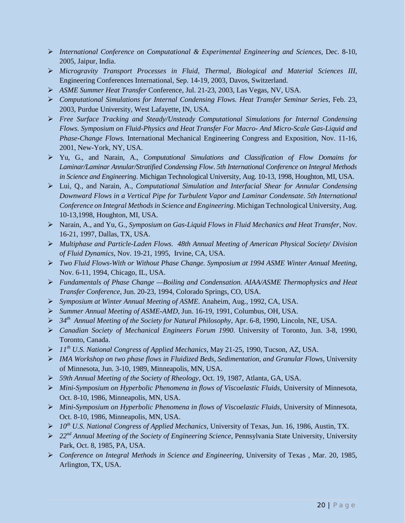- *International Conference on Computational & Experimental Engineering and Sciences*, Dec. 8-10, 2005, Jaipur, India.
- *Microgravity Transport Processes in Fluid, Thermal, Biological and Material Sciences III*, Engineering Conferences International, Sep. 14-19, 2003, Davos, Switzerland.
- *ASME Summer Heat Transfer* Conference, Jul. 21-23, 2003, Las Vegas, NV, USA.
- *Computational Simulations for Internal Condensing Flows. Heat Transfer Seminar Series*, Feb. 23, 2003, Purdue University, West Lafayette, IN, USA.
- *Free Surface Tracking and Steady/Unsteady Computational Simulations for Internal Condensing Flows. Symposium on Fluid-Physics and Heat Transfer For Macro- And Micro-Scale Gas-Liquid and Phase-Change Flows.* International Mechanical Engineering Congress and Exposition, Nov. 11-16, 2001, New-York, NY, USA.
- Yu, G., and Narain, A., *Computational Simulations and Classification of Flow Domains for Laminar/Laminar Annular/Stratified Condensing Flow*. *5th International Conference on Integral Methods in Science and Engineering*. Michigan Technological University, Aug. 10-13, 1998, Houghton, MI, USA.
- Lui, Q., and Narain, A., *Computational Simulation and Interfacial Shear for Annular Condensing Downward Flows in a Vertical Pipe for Turbulent Vapor and Laminar Condensate*. *5th International Conference on Integral Methods in Science and Engineering*. Michigan Technological University, Aug. 10-13,1998, Houghton, MI, USA.
- Narain, A., and Yu, G., *Symposium on Gas-Liquid Flows in Fluid Mechanics and Heat Transfer*, Nov. 16-21, 1997, Dallas, TX, USA.
- *Multiphase and Particle-Laden Flows. 48th Annual Meeting of American Physical Society/ Division of Fluid Dynamics*, Nov. 19-21, 1995, Irvine, CA, USA.
- *Two Fluid Flows-With or Without Phase Change. Symposium at 1994 ASME Winter Annual Meeting*, Nov. 6-11, 1994, Chicago, IL, USA.
- *Fundamentals of Phase Change —Boiling and Condensation. AIAA/ASME Thermophysics and Heat Transfer Conference*, Jun. 20-23, 1994, Colorado Springs, CO, USA.
- *Symposium at Winter Annual Meeting of ASME*. Anaheim, Aug., 1992, CA, USA.
- *Summer Annual Meeting of ASME-AMD*, Jun. 16-19, 1991, Columbus, OH, USA.
- *34th Annual Meeting of the Society for Natural Philosophy*, Apr. 6-8, 1990, Lincoln, NE, USA.
- *Canadian Society of Mechanical Engineers Forum 1990*. University of Toronto, Jun. 3-8, 1990, Toronto, Canada.
- *11th U.S. National Congress of Applied Mechanics*, May 21-25, 1990, Tucson, AZ, USA.
- *IMA Workshop on two phase flows in Fluidized Beds, Sedimentation, and Granular Flows,* University of Minnesota, Jun. 3-10, 1989, Minneapolis, MN, USA.
- *59th Annual Meeting of the Society of Rheology*, Oct. 19, 1987, Atlanta, GA, USA.
- *Mini-Symposium on Hyperbolic Phenomena in flows of Viscoelastic Fluids*, University of Minnesota, Oct. 8-10, 1986, Minneapolis, MN, USA.
- *Mini-Symposium on Hyperbolic Phenomena in flows of Viscoelastic Fluids,* University of Minnesota, Oct. 8-10, 1986, Minneapolis, MN, USA.
- *10th U.S. National Congress of Applied Mechanics,* University of Texas, Jun. 16, 1986, Austin, TX.
- *22nd Annual Meeting of the Society of Engineering Science*, Pennsylvania State University, University Park, Oct. 8, 1985, PA, USA.
- *Conference on Integral Methods in Science and Engineering,* University of Texas , Mar. 20, 1985, Arlington, TX, USA.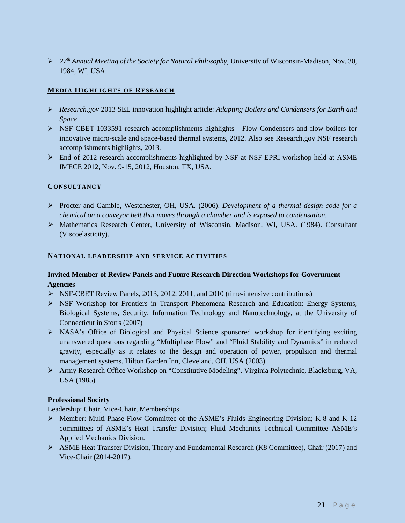*27th Annual Meeting of the Society for Natural Philosophy,* University of Wisconsin-Madison, Nov. 30, 1984, WI, USA.

## **MEDIA HIGHLIGHTS OF RESEARCH**

- *Research.gov* 2013 SEE innovation highlight article: *Adapting Boilers and Condensers for Earth and Space*.
- $\triangleright$  NSF CBET-1033591 research accomplishments highlights Flow Condensers and flow boilers for innovative micro-scale and space-based thermal systems, 2012. Also see Research.gov NSF research accomplishments highlights, 2013.
- $\triangleright$  End of 2012 research accomplishments highlighted by NSF at NSF-EPRI workshop held at ASME IMECE 2012, Nov. 9-15, 2012, Houston, TX, USA.

## **CONSULTANCY**

- Procter and Gamble, Westchester, OH, USA. (2006). *Development of a thermal design code for a chemical on a conveyor belt that moves through a chamber and is exposed to condensation*.
- Mathematics Research Center, University of Wisconsin, Madison, WI, USA. (1984). Consultant (Viscoelasticity).

## **NATIONAL LEADERSHIP AND SERVICE ACTIVITIES**

# **Invited Member of Review Panels and Future Research Direction Workshops for Government Agencies**

- NSF-CBET Review Panels, 2013, 2012, 2011, and 2010 (time-intensive contributions)
- NSF Workshop for Frontiers in Transport Phenomena Research and Education: Energy Systems, Biological Systems, Security, Information Technology and Nanotechnology, at the University of Connecticut in Storrs (2007)
- $\triangleright$  NASA's Office of Biological and Physical Science sponsored workshop for identifying exciting unanswered questions regarding "Multiphase Flow" and "Fluid Stability and Dynamics" in reduced gravity, especially as it relates to the design and operation of power, propulsion and thermal management systems. Hilton Garden Inn, Cleveland, OH, USA (2003)
- Army Research Office Workshop on "Constitutive Modeling". Virginia Polytechnic, Blacksburg, VA, USA (1985)

## **Professional Society**

Leadership: Chair, Vice-Chair, Memberships

- $\triangleright$  Member: Multi-Phase Flow Committee of the ASME's Fluids Engineering Division; K-8 and K-12 committees of ASME's Heat Transfer Division; Fluid Mechanics Technical Committee ASME's Applied Mechanics Division.
- $\triangleright$  ASME Heat Transfer Division, Theory and Fundamental Research (K8 Committee), Chair (2017) and Vice-Chair (2014-2017).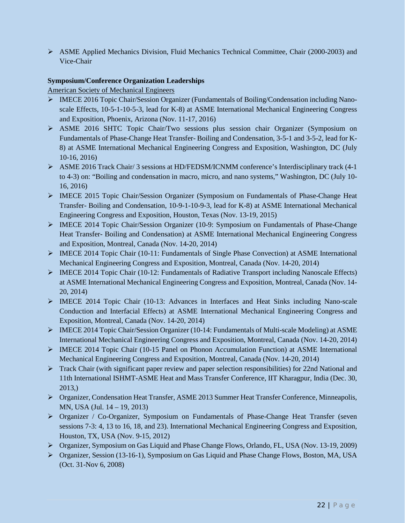$\triangleright$  ASME Applied Mechanics Division, Fluid Mechanics Technical Committee, Chair (2000-2003) and Vice-Chair

## **Symposium/Conference Organization Leaderships**

American Society of Mechanical Engineers

- $\triangleright$  IMECE 2016 Topic Chair/Session Organizer (Fundamentals of Boiling/Condensation including Nanoscale Effects, 10-5-1-10-5-3, lead for K-8) at ASME International Mechanical Engineering Congress and Exposition, Phoenix, Arizona (Nov. 11-17, 2016)
- ASME 2016 SHTC Topic Chair/Two sessions plus session chair Organizer (Symposium on Fundamentals of Phase-Change Heat Transfer- Boiling and Condensation, 3-5-1 and 3-5-2, lead for K-8) at ASME International Mechanical Engineering Congress and Exposition, Washington, DC (July 10-16, 2016)
- ASME 2016 Track Chair/ 3 sessions at HD/FEDSM/ICNMM conference's Interdisciplinary track (4-1 to 4-3) on: "Boiling and condensation in macro, micro, and nano systems," Washington, DC (July 10- 16, 2016)
- IMECE 2015 Topic Chair/Session Organizer (Symposium on Fundamentals of Phase-Change Heat Transfer- Boiling and Condensation, 10-9-1-10-9-3, lead for K-8) at ASME International Mechanical Engineering Congress and Exposition, Houston, Texas (Nov. 13-19, 2015)
- $\triangleright$  IMECE 2014 Topic Chair/Session Organizer (10-9: Symposium on Fundamentals of Phase-Change Heat Transfer- Boiling and Condensation) at ASME International Mechanical Engineering Congress and Exposition, Montreal, Canada (Nov. 14-20, 2014)
- $\triangleright$  IMECE 2014 Topic Chair (10-11: Fundamentals of Single Phase Convection) at ASME International Mechanical Engineering Congress and Exposition, Montreal, Canada (Nov. 14-20, 2014)
- IMECE 2014 Topic Chair (10-12: Fundamentals of Radiative Transport including Nanoscale Effects) at ASME International Mechanical Engineering Congress and Exposition, Montreal, Canada (Nov. 14- 20, 2014)
- IMECE 2014 Topic Chair (10-13: Advances in Interfaces and Heat Sinks including Nano-scale Conduction and Interfacial Effects) at ASME International Mechanical Engineering Congress and Exposition, Montreal, Canada (Nov. 14-20, 2014)
- IMECE 2014 Topic Chair/Session Organizer (10-14: Fundamentals of Multi-scale Modeling) at ASME International Mechanical Engineering Congress and Exposition, Montreal, Canada (Nov. 14-20, 2014)
- IMECE 2014 Topic Chair (10-15 Panel on Phonon Accumulation Function) at ASME International Mechanical Engineering Congress and Exposition, Montreal, Canada (Nov. 14-20, 2014)
- Track Chair (with significant paper review and paper selection responsibilities) for 22nd National and 11th International ISHMT-ASME Heat and Mass Transfer Conference, IIT Kharagpur, India (Dec. 30, 2013,)
- Organizer, Condensation Heat Transfer, ASME 2013 Summer Heat Transfer Conference, Minneapolis, MN, USA (Jul. 14 – 19, 2013)
- Organizer / Co-Organizer, Symposium on Fundamentals of Phase-Change Heat Transfer (seven sessions 7-3: 4, 13 to 16, 18, and 23). International Mechanical Engineering Congress and Exposition, Houston, TX, USA (Nov. 9-15, 2012)
- Organizer, Symposium on Gas Liquid and Phase Change Flows, Orlando, FL, USA (Nov. 13-19, 2009)
- Organizer, Session (13-16-1), Symposium on Gas Liquid and Phase Change Flows, Boston, MA, USA (Oct. 31-Nov 6, 2008)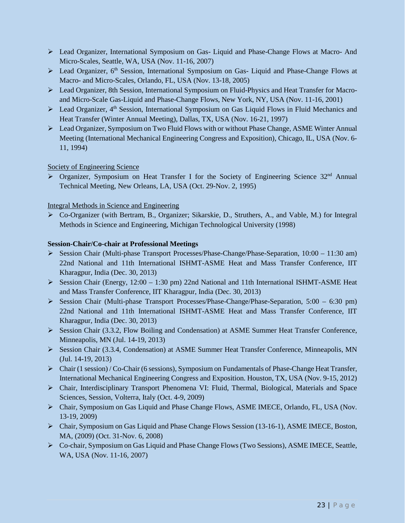- Lead Organizer, International Symposium on Gas- Liquid and Phase-Change Flows at Macro- And Micro-Scales, Seattle, WA, USA (Nov. 11-16, 2007)
- $\triangleright$  Lead Organizer, 6<sup>th</sup> Session, International Symposium on Gas- Liquid and Phase-Change Flows at Macro- and Micro-Scales, Orlando, FL, USA (Nov. 13-18, 2005)
- Lead Organizer, 8th Session, International Symposium on Fluid-Physics and Heat Transfer for Macroand Micro-Scale Gas-Liquid and Phase-Change Flows, New York, NY, USA (Nov. 11-16, 2001)
- $\triangleright$  Lead Organizer, 4<sup>th</sup> Session, International Symposium on Gas Liquid Flows in Fluid Mechanics and Heat Transfer (Winter Annual Meeting), Dallas, TX, USA (Nov. 16-21, 1997)
- Lead Organizer, Symposium on Two Fluid Flows with or without Phase Change, ASME Winter Annual Meeting (International Mechanical Engineering Congress and Exposition), Chicago, IL, USA (Nov. 6- 11, 1994)

# Society of Engineering Science

> Organizer, Symposium on Heat Transfer I for the Society of Engineering Science 32<sup>nd</sup> Annual Technical Meeting, New Orleans, LA, USA (Oct. 29-Nov. 2, 1995)

Integral Methods in Science and Engineering

 Co-Organizer (with Bertram, B., Organizer; Sikarskie, D., Struthers, A., and Vable, M.) for Integral Methods in Science and Engineering, Michigan Technological University (1998)

# **Session-Chair/Co-chair at Professional Meetings**

- Session Chair (Multi-phase Transport Processes/Phase-Change/Phase-Separation, 10:00 11:30 am) 22nd National and 11th International ISHMT-ASME Heat and Mass Transfer Conference, IIT Kharagpur, India (Dec. 30, 2013)
- Session Chair (Energy, 12:00 1:30 pm) 22nd National and 11th International ISHMT-ASME Heat and Mass Transfer Conference, IIT Kharagpur, India (Dec. 30, 2013)
- Session Chair (Multi-phase Transport Processes/Phase-Change/Phase-Separation, 5:00 6:30 pm) 22nd National and 11th International ISHMT-ASME Heat and Mass Transfer Conference, IIT Kharagpur, India (Dec. 30, 2013)
- Session Chair (3.3.2, Flow Boiling and Condensation) at ASME Summer Heat Transfer Conference, Minneapolis, MN (Jul. 14-19, 2013)
- Session Chair (3.3.4, Condensation) at ASME Summer Heat Transfer Conference, Minneapolis, MN (Jul. 14-19, 2013)
- Chair (1 session) / Co-Chair (6 sessions), Symposium on Fundamentals of Phase-Change Heat Transfer, International Mechanical Engineering Congress and Exposition. Houston, TX, USA (Nov. 9-15, 2012)
- Chair, Interdisciplinary Transport Phenomena VI: Fluid, Thermal, Biological, Materials and Space Sciences, Session, Volterra, Italy (Oct. 4-9, 2009)
- Chair, Symposium on Gas Liquid and Phase Change Flows, ASME IMECE, Orlando, FL, USA (Nov. 13-19, 2009)
- Chair, Symposium on Gas Liquid and Phase Change Flows Session (13-16-1), ASME IMECE, Boston, MA, (2009) (Oct. 31-Nov. 6, 2008)
- Co-chair, Symposium on Gas Liquid and Phase Change Flows (Two Sessions), ASME IMECE, Seattle, WA, USA (Nov. 11-16, 2007)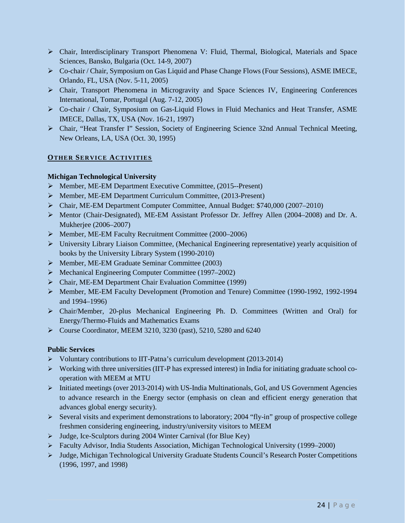- Chair, Interdisciplinary Transport Phenomena V: Fluid, Thermal, Biological, Materials and Space Sciences, Bansko, Bulgaria (Oct. 14-9, 2007)
- Co-chair / Chair, Symposium on Gas Liquid and Phase Change Flows (Four Sessions), ASME IMECE, Orlando, FL, USA (Nov. 5-11, 2005)
- Chair, Transport Phenomena in Microgravity and Space Sciences IV, Engineering Conferences International, Tomar, Portugal (Aug. 7-12, 2005)
- Co-chair / Chair, Symposium on Gas-Liquid Flows in Fluid Mechanics and Heat Transfer, ASME IMECE, Dallas, TX, USA (Nov. 16-21, 1997)
- Chair, "Heat Transfer I" Session, Society of Engineering Science 32nd Annual Technical Meeting, New Orleans, LA, USA (Oct. 30, 1995)

# **OTHER SERVICE ACTIVITIES**

## **Michigan Technological University**

- Member, ME-EM Department Executive Committee, (2015--Present)
- Member, ME-EM Department Curriculum Committee, (2013-Present)
- Chair, ME-EM Department Computer Committee, Annual Budget: \$740,000 (2007–2010)
- Mentor (Chair-Designated), ME-EM Assistant Professor Dr. Jeffrey Allen (2004–2008) and Dr. A. Mukherjee (2006–2007)
- Member, ME-EM Faculty Recruitment Committee (2000–2006)
- $\triangleright$  University Library Liaison Committee, (Mechanical Engineering representative) yearly acquisition of books by the University Library System (1990-2010)
- $\triangleright$  Member, ME-EM Graduate Seminar Committee (2003)
- Mechanical Engineering Computer Committee (1997–2002)
- Chair, ME-EM Department Chair Evaluation Committee (1999)
- Member, ME-EM Faculty Development (Promotion and Tenure) Committee (1990-1992, 1992-1994 and 1994–1996)
- Chair/Member, 20-plus Mechanical Engineering Ph. D. Committees (Written and Oral) for Energy/Thermo-Fluids and Mathematics Exams
- Course Coordinator, MEEM 3210, 3230 (past), 5210, 5280 and 6240

## **Public Services**

- Voluntary contributions to IIT-Patna's curriculum development (2013-2014)
- Working with three universities (IIT-P has expressed interest) in India for initiating graduate school cooperation with MEEM at MTU
- $\triangleright$  Initiated meetings (over 2013-2014) with US-India Multinationals, GoI, and US Government Agencies to advance research in the Energy sector (emphasis on clean and efficient energy generation that advances global energy security).
- Several visits and experiment demonstrations to laboratory; 2004 "fly-in" group of prospective college freshmen considering engineering, industry/university visitors to MEEM
- Judge, Ice-Sculptors during 2004 Winter Carnival (for Blue Key)
- Faculty Advisor, India Students Association, Michigan Technological University (1999–2000)
- Judge, Michigan Technological University Graduate Students Council's Research Poster Competitions (1996, 1997, and 1998)